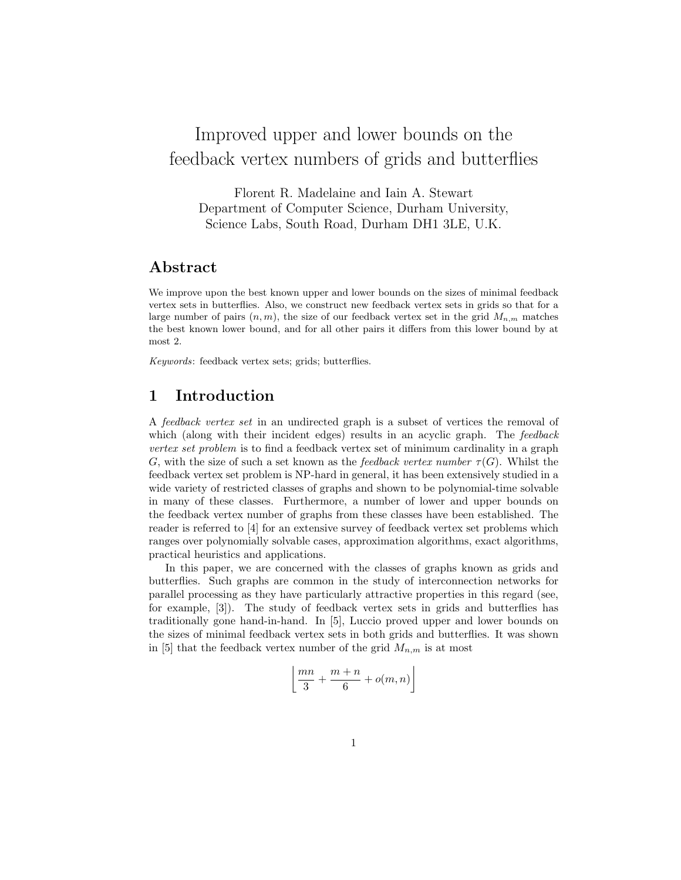# Improved upper and lower bounds on the feedback vertex numbers of grids and butterflies

Florent R. Madelaine and Iain A. Stewart Department of Computer Science, Durham University, Science Labs, South Road, Durham DH1 3LE, U.K.

### Abstract

We improve upon the best known upper and lower bounds on the sizes of minimal feedback vertex sets in butterflies. Also, we construct new feedback vertex sets in grids so that for a large number of pairs  $(n, m)$ , the size of our feedback vertex set in the grid  $M_{n,m}$  matches the best known lower bound, and for all other pairs it differs from this lower bound by at most 2.

Keywords: feedback vertex sets; grids; butterflies.

# 1 Introduction

A feedback vertex set in an undirected graph is a subset of vertices the removal of which (along with their incident edges) results in an acyclic graph. The feedback vertex set problem is to find a feedback vertex set of minimum cardinality in a graph G, with the size of such a set known as the feedback vertex number  $\tau(G)$ . Whilst the feedback vertex set problem is NP-hard in general, it has been extensively studied in a wide variety of restricted classes of graphs and shown to be polynomial-time solvable in many of these classes. Furthermore, a number of lower and upper bounds on the feedback vertex number of graphs from these classes have been established. The reader is referred to [4] for an extensive survey of feedback vertex set problems which ranges over polynomially solvable cases, approximation algorithms, exact algorithms, practical heuristics and applications.

In this paper, we are concerned with the classes of graphs known as grids and butterflies. Such graphs are common in the study of interconnection networks for parallel processing as they have particularly attractive properties in this regard (see, for example, [3]). The study of feedback vertex sets in grids and butterflies has traditionally gone hand-in-hand. In [5], Luccio proved upper and lower bounds on the sizes of minimal feedback vertex sets in both grids and butterflies. It was shown in [5] that the feedback vertex number of the grid  $M_{n,m}$  is at most

$$
\left\lfloor \frac{mn}{3} + \frac{m+n}{6} + o(m,n) \right\rfloor
$$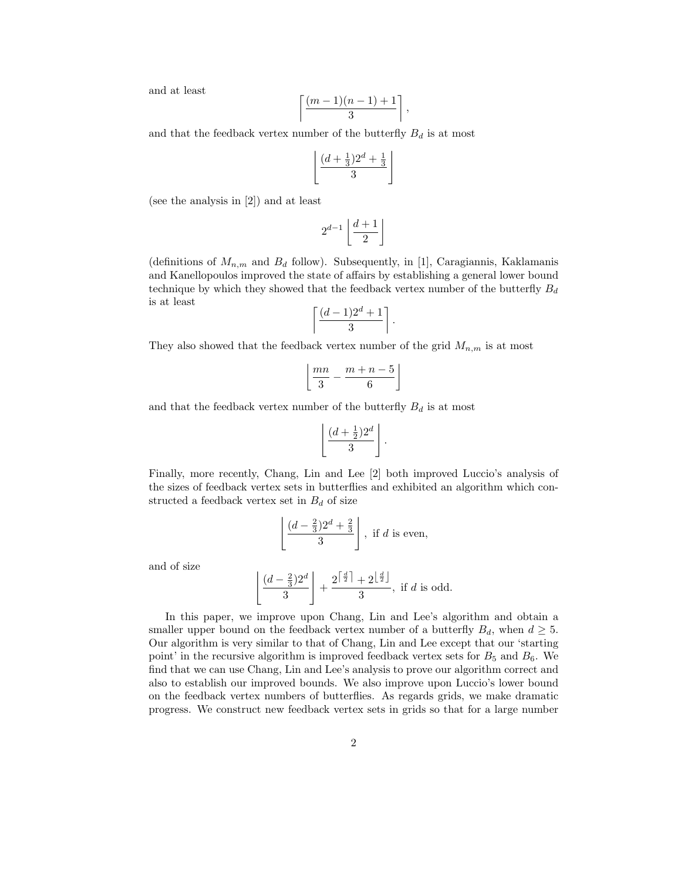and at least

$$
\left\lceil \frac{(m-1)(n-1)+1}{3}\right\rceil
$$

,

and that the feedback vertex number of the butterfly  $B_d$  is at most

$$
\left\lfloor \frac{(d+\frac{1}{3})2^d + \frac{1}{3}}{3} \right\rfloor
$$

(see the analysis in [2]) and at least

$$
2^{d-1}\left\lfloor\frac{d+1}{2}\right\rfloor
$$

(definitions of  $M_{n,m}$  and  $B_d$  follow). Subsequently, in [1], Caragiannis, Kaklamanis and Kanellopoulos improved the state of affairs by establishing a general lower bound technique by which they showed that the feedback vertex number of the butterfly  $B_d$ is at least

$$
\left\lceil \frac{(d-1)2^d+1}{3}\right\rceil.
$$

They also showed that the feedback vertex number of the grid  $M_{n,m}$  is at most

$$
\left\lfloor \frac{mn}{3} - \frac{m+n-5}{6} \right\rfloor
$$

and that the feedback vertex number of the butterfly  ${\cal B}_d$  is at most

$$
\left\lfloor \frac{(d+\frac{1}{2})2^d}{3} \right\rfloor.
$$

Finally, more recently, Chang, Lin and Lee [2] both improved Luccio's analysis of the sizes of feedback vertex sets in butterflies and exhibited an algorithm which constructed a feedback vertex set in  $B_d$  of size

$$
\left\lfloor \frac{(d - \frac{2}{3})2^d + \frac{2}{3}}{3} \right\rfloor
$$
, if *d* is even,

and of size

$$
\left\lfloor \frac{(d - \frac{2}{3})2^d}{3} \right\rfloor + \frac{2^{\left\lceil \frac{d}{2} \right\rceil} + 2^{\left\lfloor \frac{d}{2} \right\rfloor}}{3}, \text{ if } d \text{ is odd.}
$$

In this paper, we improve upon Chang, Lin and Lee's algorithm and obtain a smaller upper bound on the feedback vertex number of a butterfly  $B_d$ , when  $d \geq 5$ . Our algorithm is very similar to that of Chang, Lin and Lee except that our 'starting point' in the recursive algorithm is improved feedback vertex sets for  $B_5$  and  $B_6$ . We find that we can use Chang, Lin and Lee's analysis to prove our algorithm correct and also to establish our improved bounds. We also improve upon Luccio's lower bound on the feedback vertex numbers of butterflies. As regards grids, we make dramatic progress. We construct new feedback vertex sets in grids so that for a large number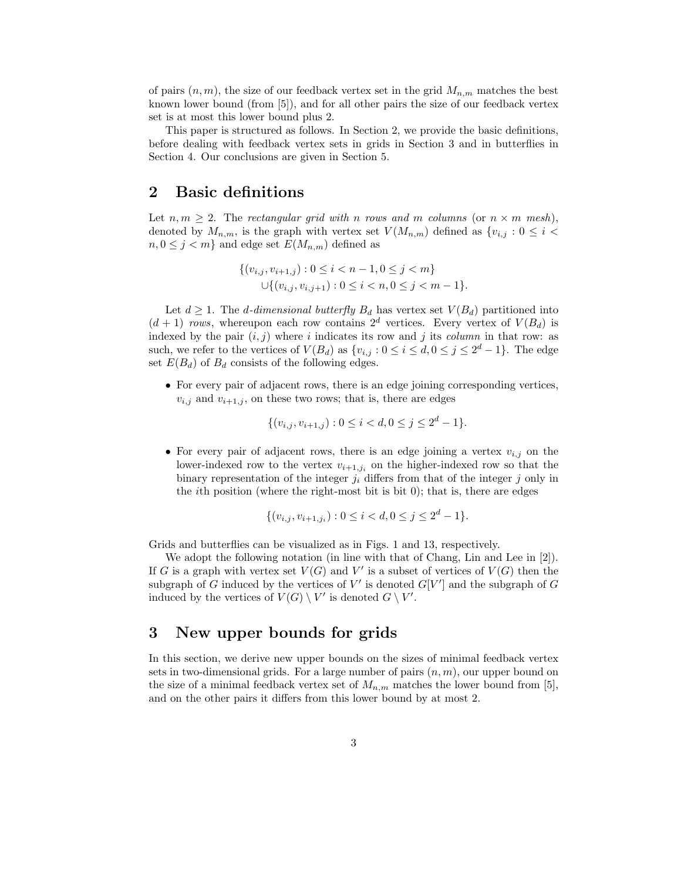of pairs  $(n, m)$ , the size of our feedback vertex set in the grid  $M_{n,m}$  matches the best known lower bound (from [5]), and for all other pairs the size of our feedback vertex set is at most this lower bound plus 2.

This paper is structured as follows. In Section 2, we provide the basic definitions, before dealing with feedback vertex sets in grids in Section 3 and in butterflies in Section 4. Our conclusions are given in Section 5.

## 2 Basic definitions

Let  $n, m \geq 2$ . The rectangular grid with n rows and m columns (or  $n \times m$  mesh), denoted by  $M_{n,m}$ , is the graph with vertex set  $V(M_{n,m})$  defined as  $\{v_{i,j}: 0 \leq i \leq j\}$  $n, 0 \leq j < m$  and edge set  $E(M_{n,m})$  defined as

$$
\{(v_{i,j}, v_{i+1,j}) : 0 \le i < n-1, 0 \le j < m\}
$$
\n
$$
\cup \{(v_{i,j}, v_{i,j+1}) : 0 \le i < n, 0 \le j < m-1\}.
$$

Let  $d \geq 1$ . The *d*-dimensional butterfly  $B_d$  has vertex set  $V(B_d)$  partitioned into  $(d+1)$  rows, whereupon each row contains  $2^d$  vertices. Every vertex of  $V(B_d)$  is indexed by the pair  $(i, j)$  where i indicates its row and j its column in that row: as such, we refer to the vertices of  $V(B_d)$  as  $\{v_{i,j} : 0 \le i \le d, 0 \le j \le 2^d - 1\}$ . The edge set  $E(B_d)$  of  $B_d$  consists of the following edges.

• For every pair of adjacent rows, there is an edge joining corresponding vertices,  $v_{i,j}$  and  $v_{i+1,j}$ , on these two rows; that is, there are edges

$$
\{(v_{i,j}, v_{i+1,j}) : 0 \le i < d, 0 \le j \le 2^d - 1\}.
$$

• For every pair of adjacent rows, there is an edge joining a vertex  $v_{i,j}$  on the lower-indexed row to the vertex  $v_{i+1,j_i}$  on the higher-indexed row so that the binary representation of the integer  $j_i$  differs from that of the integer j only in the *i*th position (where the right-most bit is bit  $0$ ); that is, there are edges

$$
\{(v_{i,j}, v_{i+1,j_i}) : 0 \le i < d, 0 \le j \le 2^d - 1\}.
$$

Grids and butterflies can be visualized as in Figs. 1 and 13, respectively.

We adopt the following notation (in line with that of Chang, Lin and Lee in [2]). If G is a graph with vertex set  $V(G)$  and V' is a subset of vertices of  $V(G)$  then the subgraph of G induced by the vertices of  $V'$  is denoted  $G[V']$  and the subgraph of G induced by the vertices of  $V(G) \setminus V'$  is denoted  $G \setminus V'$ .

### 3 New upper bounds for grids

In this section, we derive new upper bounds on the sizes of minimal feedback vertex sets in two-dimensional grids. For a large number of pairs  $(n, m)$ , our upper bound on the size of a minimal feedback vertex set of  $M_{n,m}$  matches the lower bound from [5], and on the other pairs it differs from this lower bound by at most 2.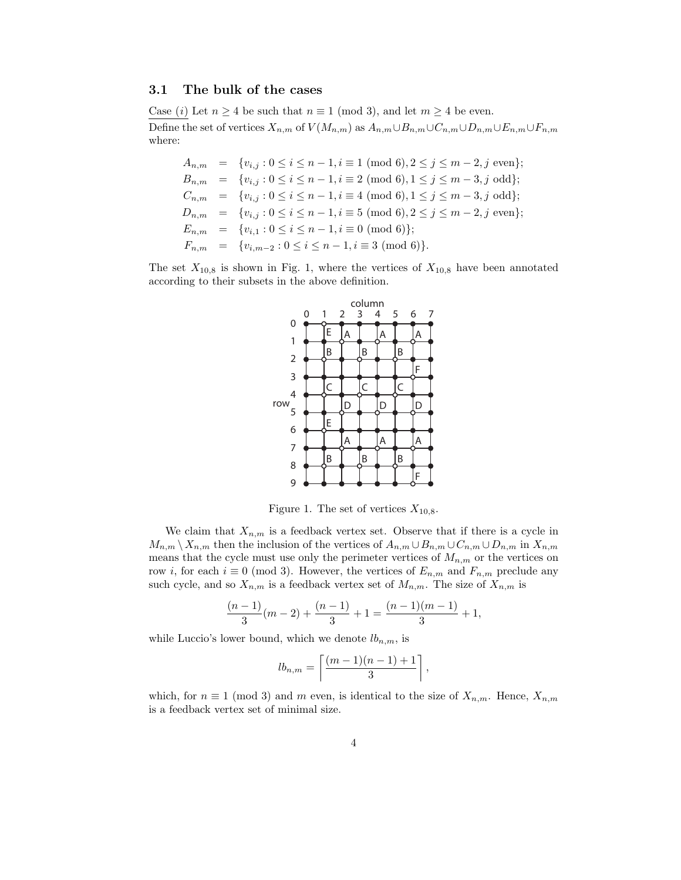#### 3.1 The bulk of the cases

Case (i) Let  $n \geq 4$  be such that  $n \equiv 1 \pmod{3}$ , and let  $m \geq 4$  be even. Define the set of vertices  $X_{n,m}$  of  $V(M_{n,m})$  as  $A_{n,m}\cup B_{n,m}\cup C_{n,m}\cup D_{n,m}\cup E_{n,m}\cup F_{n,m}$ where:

 $A_{n,m} = \{v_{i,j} : 0 \le i \le n-1, i \equiv 1 \pmod{6}, 2 \le j \le m-2, j \text{ even}\};$  $B_{n,m} = \{v_{i,j} : 0 \le i \le n-1, i \equiv 2 \pmod{6}, 1 \le j \le m-3, j \text{ odd}\};$  $C_{n,m} = \{v_{i,j} : 0 \le i \le n-1, i \equiv 4 \pmod{6}, 1 \le j \le m-3, j \text{ odd}\};$  $D_{n,m} = \{v_{i,j} : 0 \le i \le n-1, i \equiv 5 \pmod{6}, 2 \le j \le m-2, j \text{ even}\};$  $E_{n,m} = \{v_{i,1} : 0 \le i \le n-1, i \equiv 0 \pmod{6}\};$  $F_{n,m} = \{v_{i,m-2} : 0 \le i \le n-1, i \equiv 3 \pmod{6}\}.$ 

The set  $X_{10,8}$  is shown in Fig. 1, where the vertices of  $X_{10,8}$  have been annotated according to their subsets in the above definition.



Figure 1. The set of vertices  $X_{10,8}$ .

We claim that  $X_{n,m}$  is a feedback vertex set. Observe that if there is a cycle in  $M_{n,m} \setminus X_{n,m}$  then the inclusion of the vertices of  $A_{n,m} \cup B_{n,m} \cup C_{n,m} \cup D_{n,m}$  in  $X_{n,m}$ means that the cycle must use only the perimeter vertices of  $M_{n,m}$  or the vertices on row i, for each  $i \equiv 0 \pmod{3}$ . However, the vertices of  $E_{n,m}$  and  $F_{n,m}$  preclude any such cycle, and so  $X_{n,m}$  is a feedback vertex set of  $M_{n,m}$ . The size of  $X_{n,m}$  is

$$
\frac{(n-1)}{3}(m-2)+\frac{(n-1)}{3}+1=\frac{(n-1)(m-1)}{3}+1,
$$

while Luccio's lower bound, which we denote  $lb_{n,m}$ , is

$$
lb_{n,m} = \left\lceil \frac{(m-1)(n-1)+1}{3} \right\rceil,
$$

which, for  $n \equiv 1 \pmod{3}$  and m even, is identical to the size of  $X_{n,m}$ . Hence,  $X_{n,m}$ is a feedback vertex set of minimal size.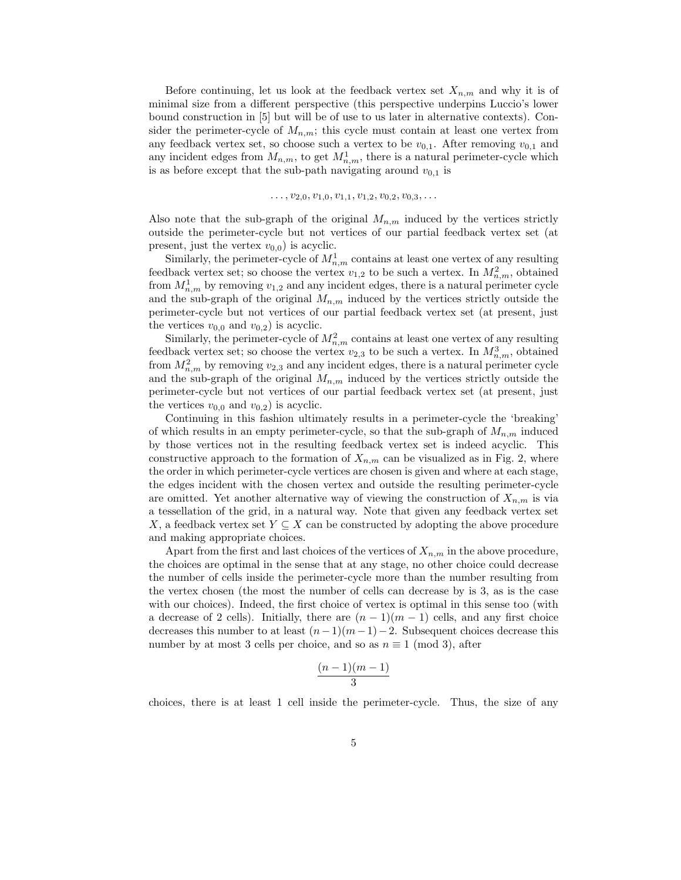Before continuing, let us look at the feedback vertex set  $X_{n,m}$  and why it is of minimal size from a different perspective (this perspective underpins Luccio's lower bound construction in [5] but will be of use to us later in alternative contexts). Consider the perimeter-cycle of  $M_{n,m}$ ; this cycle must contain at least one vertex from any feedback vertex set, so choose such a vertex to be  $v_{0,1}$ . After removing  $v_{0,1}$  and any incident edges from  $M_{n,m}$ , to get  $M_{n,m}^1$ , there is a natural perimeter-cycle which is as before except that the sub-path navigating around  $v_{0,1}$  is

$$
\ldots, v_{2,0}, v_{1,0}, v_{1,1}, v_{1,2}, v_{0,2}, v_{0,3}, \ldots
$$

Also note that the sub-graph of the original  $M_{n,m}$  induced by the vertices strictly outside the perimeter-cycle but not vertices of our partial feedback vertex set (at present, just the vertex  $v_{0,0}$  is acyclic.

Similarly, the perimeter-cycle of  $M_{n,m}^1$  contains at least one vertex of any resulting feedback vertex set; so choose the vertex  $v_{1,2}$  to be such a vertex. In  $M_{n,m}^2$ , obtained from  $M_{n,m}^1$  by removing  $v_{1,2}$  and any incident edges, there is a natural perimeter cycle and the sub-graph of the original  $M_{n,m}$  induced by the vertices strictly outside the perimeter-cycle but not vertices of our partial feedback vertex set (at present, just the vertices  $v_{0,0}$  and  $v_{0,2}$ ) is acyclic.

Similarly, the perimeter-cycle of  $M_{n,m}^2$  contains at least one vertex of any resulting feedback vertex set; so choose the vertex  $v_{2,3}$  to be such a vertex. In  $M_{n,m}^3$ , obtained from  $M_{n,m}^2$  by removing  $v_{2,3}$  and any incident edges, there is a natural perimeter cycle and the sub-graph of the original  $M_{n,m}$  induced by the vertices strictly outside the perimeter-cycle but not vertices of our partial feedback vertex set (at present, just the vertices  $v_{0,0}$  and  $v_{0,2}$ ) is acyclic.

Continuing in this fashion ultimately results in a perimeter-cycle the 'breaking' of which results in an empty perimeter-cycle, so that the sub-graph of  $M_{n,m}$  induced by those vertices not in the resulting feedback vertex set is indeed acyclic. This constructive approach to the formation of  $X_{n,m}$  can be visualized as in Fig. 2, where the order in which perimeter-cycle vertices are chosen is given and where at each stage, the edges incident with the chosen vertex and outside the resulting perimeter-cycle are omitted. Yet another alternative way of viewing the construction of  $X_{n,m}$  is via a tessellation of the grid, in a natural way. Note that given any feedback vertex set X, a feedback vertex set  $Y \subseteq X$  can be constructed by adopting the above procedure and making appropriate choices.

Apart from the first and last choices of the vertices of  $X_{n,m}$  in the above procedure, the choices are optimal in the sense that at any stage, no other choice could decrease the number of cells inside the perimeter-cycle more than the number resulting from the vertex chosen (the most the number of cells can decrease by is 3, as is the case with our choices). Indeed, the first choice of vertex is optimal in this sense too (with a decrease of 2 cells). Initially, there are  $(n-1)(m-1)$  cells, and any first choice decreases this number to at least  $(n-1)(m-1)-2$ . Subsequent choices decrease this number by at most 3 cells per choice, and so as  $n \equiv 1 \pmod{3}$ , after

$$
\frac{(n-1)(m-1)}{3}
$$

choices, there is at least 1 cell inside the perimeter-cycle. Thus, the size of any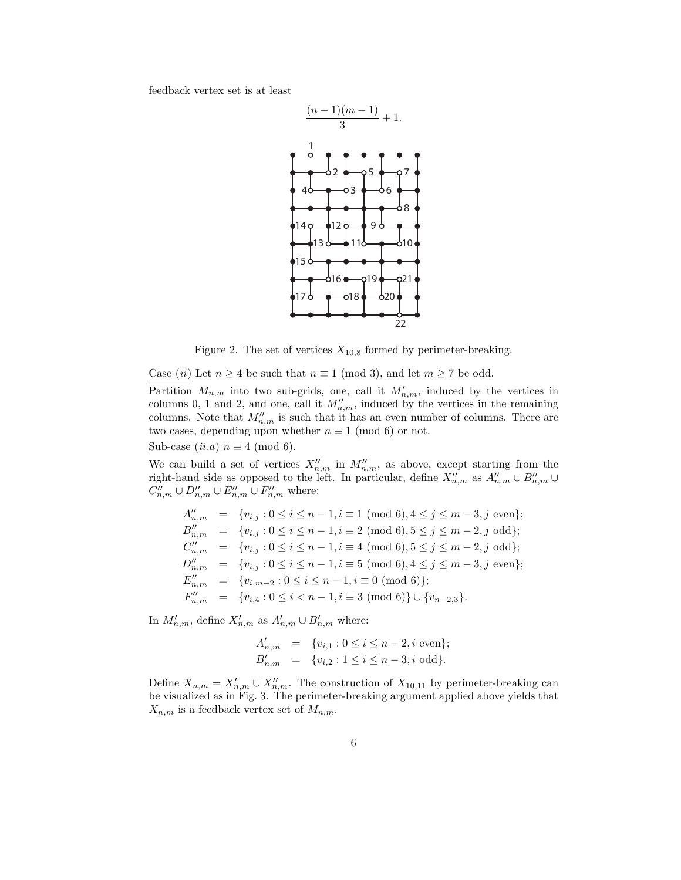feedback vertex set is at least



Figure 2. The set of vertices  $X_{10,8}$  formed by perimeter-breaking.

Case (ii) Let  $n \geq 4$  be such that  $n \equiv 1 \pmod{3}$ , and let  $m \geq 7$  be odd.

Partition  $M_{n,m}$  into two sub-grids, one, call it  $M'_{n,m}$ , induced by the vertices in columns 0, 1 and 2, and one, call it  $M''_{n,m}$ , induced by the vertices in the remaining columns. Note that  $M''_{n,m}$  is such that it has an even number of columns. There are two cases, depending upon whether  $n \equiv 1 \pmod{6}$  or not.

Sub-case  $(ii.a)$   $n \equiv 4 \pmod{6}$ .

We can build a set of vertices  $X''_{n,m}$  in  $M''_{n,m}$ , as above, except starting from the right-hand side as opposed to the left. In particular, define  $X''_{n,m}$  as  $A''_{n,m} \cup B''_{n,m} \cup$  $C''_{n,m} \cup D''_{n,m} \cup E''_{n,m} \cup F''_{n,m}$  where:

$$
A''_{n,m} = \{v_{i,j} : 0 \le i \le n-1, i \equiv 1 \pmod{6}, 4 \le j \le m-3, j \text{ even}\};
$$
  
\n
$$
B''_{n,m} = \{v_{i,j} : 0 \le i \le n-1, i \equiv 2 \pmod{6}, 5 \le j \le m-2, j \text{ odd}\};
$$
  
\n
$$
C''_{n,m} = \{v_{i,j} : 0 \le i \le n-1, i \equiv 4 \pmod{6}, 5 \le j \le m-2, j \text{ odd}\};
$$
  
\n
$$
D''_{n,m} = \{v_{i,j} : 0 \le i \le n-1, i \equiv 5 \pmod{6}, 4 \le j \le m-3, j \text{ even}\};
$$
  
\n
$$
E''_{n,m} = \{v_{i,m-2} : 0 \le i \le n-1, i \equiv 0 \pmod{6}\};
$$
  
\n
$$
F''_{n,m} = \{v_{i,4} : 0 \le i \le n-1, i \equiv 3 \pmod{6}\} \cup \{v_{n-2,3}\}.
$$

In  $M'_{n,m}$ , define  $X'_{n,m}$  as  $A'_{n,m} \cup B'_{n,m}$  where:

$$
A'_{n,m} = \{v_{i,1} : 0 \le i \le n-2, i \text{ even}\};
$$
  
\n
$$
B'_{n,m} = \{v_{i,2} : 1 \le i \le n-3, i \text{ odd}\}.
$$

Define  $X_{n,m} = X'_{n,m} \cup X''_{n,m}$ . The construction of  $X_{10,11}$  by perimeter-breaking can be visualized as in Fig. 3. The perimeter-breaking argument applied above yields that  $X_{n,m}$  is a feedback vertex set of  $M_{n,m}$ .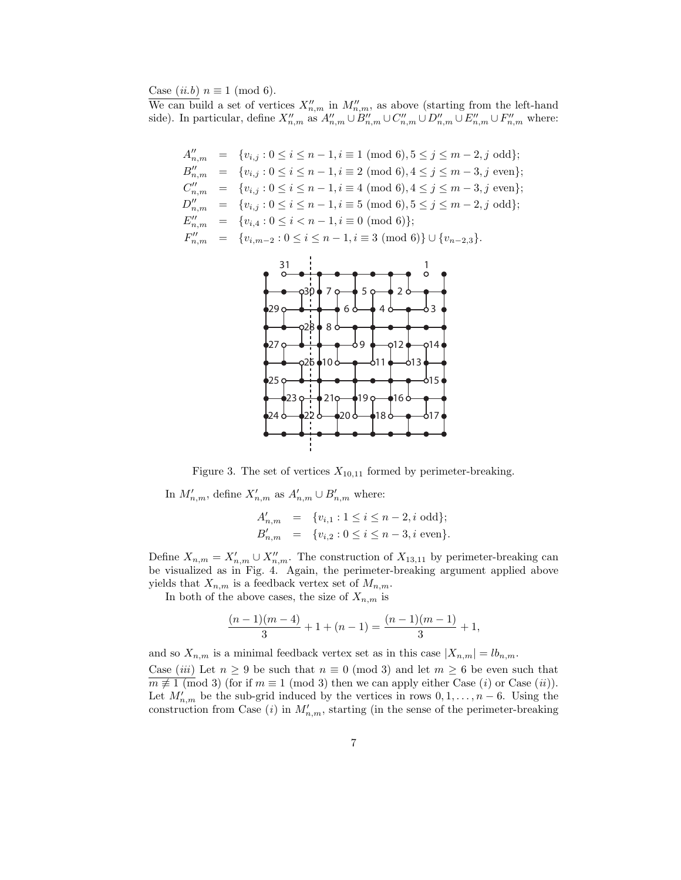Case  $(ii.b)$   $n \equiv 1 \pmod{6}$ .

We can build a set of vertices  $X''_{n,m}$  in  $M''_{n,m}$ , as above (starting from the left-hand side). In particular, define  $X''_{n,m}$  as  $A''_{n,m} \cup B''_{n,m} \cup C''_{n,m} \cup D''_{n,m} \cup E''_{n,m} \cup F''_{n,m}$  where:

$$
A''_{n,m} = \{v_{i,j} : 0 \le i \le n-1, i \equiv 1 \pmod{6}, 5 \le j \le m-2, j \text{ odd}\};
$$
  
\n
$$
B''_{n,m} = \{v_{i,j} : 0 \le i \le n-1, i \equiv 2 \pmod{6}, 4 \le j \le m-3, j \text{ even}\};
$$
  
\n
$$
C''_{n,m} = \{v_{i,j} : 0 \le i \le n-1, i \equiv 4 \pmod{6}, 4 \le j \le m-3, j \text{ even}\};
$$
  
\n
$$
D''_{n,m} = \{v_{i,j} : 0 \le i \le n-1, i \equiv 5 \pmod{6}, 5 \le j \le m-2, j \text{ odd}\};
$$
  
\n
$$
E''_{n,m} = \{v_{i,4} : 0 \le i < n-1, i \equiv 0 \pmod{6}\};
$$
  
\n
$$
F''_{n,m} = \{v_{i,m-2} : 0 \le i \le n-1, i \equiv 3 \pmod{6}\} \cup \{v_{n-2,3}\}.
$$



Figure 3. The set of vertices  $X_{10,11}$  formed by perimeter-breaking.

In  $M'_{n,m}$ , define  $X'_{n,m}$  as  $A'_{n,m} \cup B'_{n,m}$  where:

$$
A'_{n,m} = \{v_{i,1} : 1 \le i \le n-2, i \text{ odd}\};
$$
  
\n
$$
B'_{n,m} = \{v_{i,2} : 0 \le i \le n-3, i \text{ even}\}.
$$

Define  $X_{n,m} = X'_{n,m} \cup X''_{n,m}$ . The construction of  $X_{13,11}$  by perimeter-breaking can be visualized as in Fig. 4. Again, the perimeter-breaking argument applied above yields that  $X_{n,m}$  is a feedback vertex set of  $M_{n,m}$ .

In both of the above cases, the size of  $X_{n,m}$  is

$$
\frac{(n-1)(m-4)}{3} + 1 + (n-1) = \frac{(n-1)(m-1)}{3} + 1,
$$

and so  $X_{n,m}$  is a minimal feedback vertex set as in this case  $|X_{n,m}| = lb_{n,m}$ . Case (iii) Let  $n \geq 9$  be such that  $n \equiv 0 \pmod{3}$  and let  $m \geq 6$  be even such that  $m \not\equiv 1 \pmod{3}$  (for if  $m \equiv 1 \pmod{3}$  then we can apply either Case  $(i)$  or Case  $(ii)$ ). Let  $M'_{n,m}$  be the sub-grid induced by the vertices in rows  $0, 1, \ldots, n-6$ . Using the construction from Case (*i*) in  $M'_{n,m}$ , starting (in the sense of the perimeter-breaking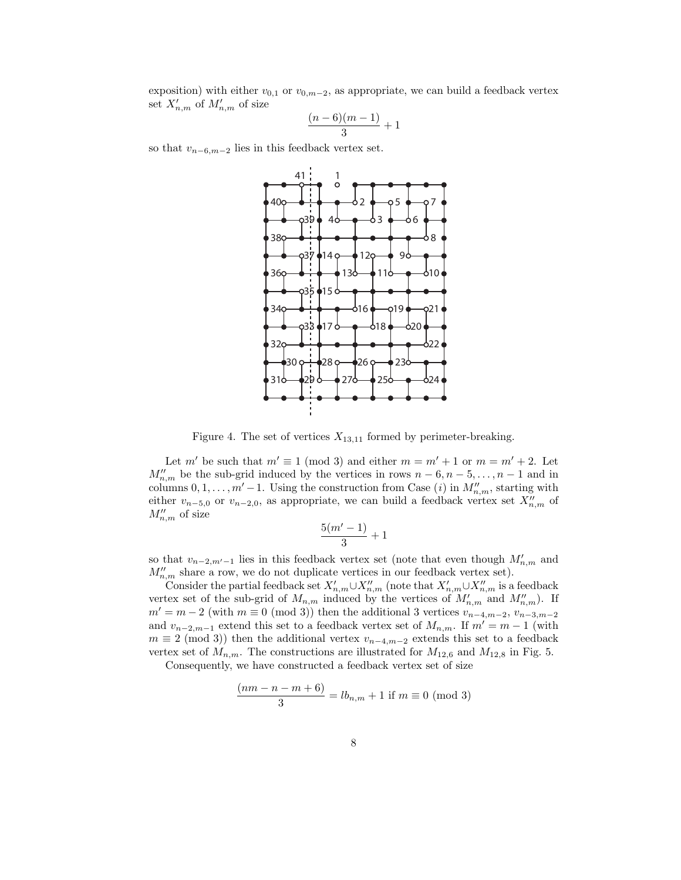exposition) with either  $v_{0,1}$  or  $v_{0,m-2}$ , as appropriate, we can build a feedback vertex set  $X'_{n,m}$  of  $M'_{n,m}$  of size

$$
\frac{(n-6)(m-1)}{3}+1
$$

so that  $v_{n-6,m-2}$  lies in this feedback vertex set.



Figure 4. The set of vertices  $X_{13,11}$  formed by perimeter-breaking.

Let  $m'$  be such that  $m' \equiv 1 \pmod{3}$  and either  $m = m' + 1$  or  $m = m' + 2$ . Let  $M''_{n,m}$  be the sub-grid induced by the vertices in rows  $n-6, n-5, \ldots, n-1$  and in columns  $0, 1, \ldots, m' - 1$ . Using the construction from Case (i) in  $M''_{n,m}$ , starting with either  $v_{n-5,0}$  or  $v_{n-2,0}$ , as appropriate, we can build a feedback vertex set  $X''_{n,m}$  of  $M''_{n,m}$  of size

$$
\frac{5(m'-1)}{3}+1
$$

so that  $v_{n-2,m'-1}$  lies in this feedback vertex set (note that even though  $M'_{n,m}$  and  $M''_{n,m}$  share a row, we do not duplicate vertices in our feedback vertex set).

Consider the partial feedback set  $X'_{n,m}\cup X''_{n,m}$  (note that  $X'_{n,m}\cup X''_{n,m}$  is a feedback vertex set of the sub-grid of  $M_{n,m}$  induced by the vertices of  $M'_{n,m}$  and  $M''_{n,m}$ ). If  $m' = m - 2$  (with  $m \equiv 0 \pmod{3}$ ) then the additional 3 vertices  $v_{n-4,m-2}, v_{n-3,m-2}$ and  $v_{n-2,m-1}$  extend this set to a feedback vertex set of  $M_{n,m}$ . If  $m' = m - 1$  (with  $m \equiv 2 \pmod{3}$  then the additional vertex  $v_{n-4,m-2}$  extends this set to a feedback vertex set of  $M_{n,m}$ . The constructions are illustrated for  $M_{12,6}$  and  $M_{12,8}$  in Fig. 5.

Consequently, we have constructed a feedback vertex set of size

$$
\frac{(nm - n - m + 6)}{3} = lb_{n,m} + 1 \text{ if } m \equiv 0 \pmod{3}
$$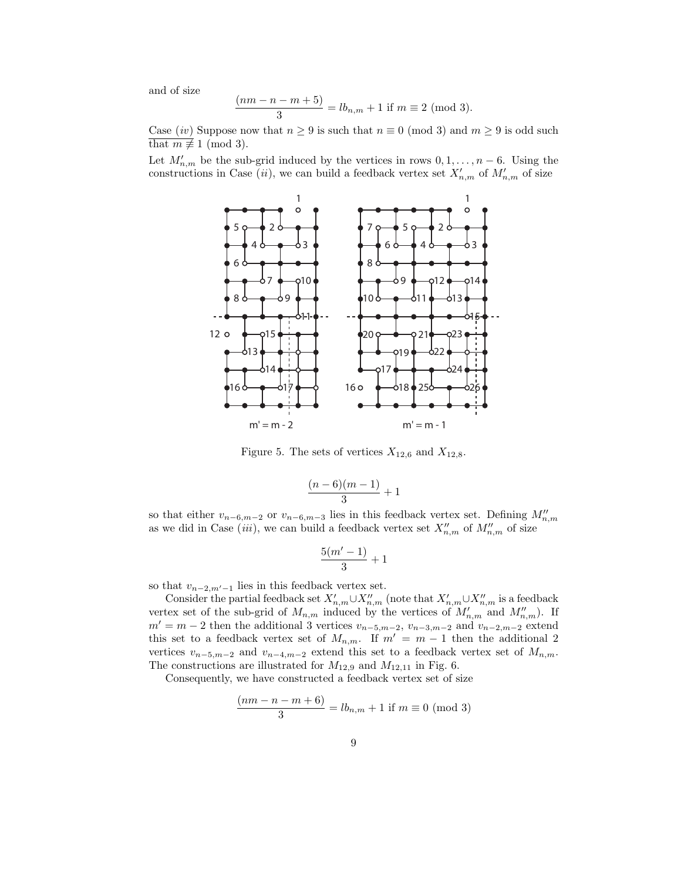and of size

$$
\frac{(nm - n - m + 5)}{3} = lb_{n,m} + 1 \text{ if } m \equiv 2 \text{ (mod 3)}.
$$

Case (iv) Suppose now that  $n \geq 9$  is such that  $n \equiv 0 \pmod{3}$  and  $m \geq 9$  is odd such that  $m \not\equiv 1 \pmod{3}$ .

Let  $M'_{n,m}$  be the sub-grid induced by the vertices in rows  $0, 1, \ldots, n-6$ . Using the constructions in Case (ii), we can build a feedback vertex set  $X'_{n,m}$  of  $M'_{n,m}$  of size



Figure 5. The sets of vertices  $X_{12,6}$  and  $X_{12,8}$ .

$$
\frac{(n-6)(m-1)}{3}+1
$$

so that either  $v_{n-6,m-2}$  or  $v_{n-6,m-3}$  lies in this feedback vertex set. Defining  $M''_{n,m}$ as we did in Case (*iii*), we can build a feedback vertex set  $X''_{n,m}$  of  $M''_{n,m}$  of size

$$
\frac{5(m'-1)}{3}+1
$$

so that  $v_{n-2,m'-1}$  lies in this feedback vertex set.

Consider the partial feedback set  $X'_{n,m}\cup X''_{n,m}$  (note that  $X'_{n,m}\cup X''_{n,m}$  is a feedback vertex set of the sub-grid of  $M_{n,m}$  induced by the vertices of  $M'_{n,m}$  and  $M''_{n,m}$ ). If  $m' = m - 2$  then the additional 3 vertices  $v_{n-5,m-2}$ ,  $v_{n-3,m-2}$  and  $v_{n-2,m-2}$  extend this set to a feedback vertex set of  $M_{n,m}$ . If  $m' = m - 1$  then the additional 2 vertices  $v_{n-5,m-2}$  and  $v_{n-4,m-2}$  extend this set to a feedback vertex set of  $M_{n,m}$ . The constructions are illustrated for  $M_{12,9}$  and  $M_{12,11}$  in Fig. 6.

Consequently, we have constructed a feedback vertex set of size

$$
\frac{(nm - n - m + 6)}{3} = lb_{n,m} + 1 \text{ if } m \equiv 0 \pmod{3}
$$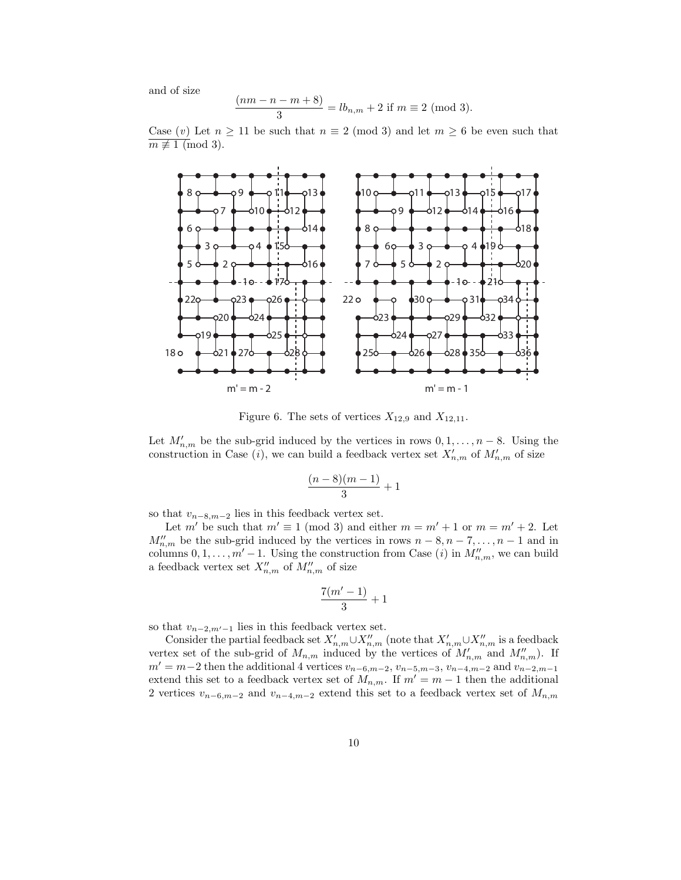and of size

$$
\frac{(nm - n - m + 8)}{3} = lb_{n,m} + 2 \text{ if } m \equiv 2 \text{ (mod 3)}.
$$

Case  $(v)$  Let  $n \ge 11$  be such that  $n \equiv 2 \pmod{3}$  and let  $m \ge 6$  be even such that  $m \not\equiv 1 \pmod{3}$ .



Figure 6. The sets of vertices  $X_{12,9}$  and  $X_{12,11}$ .

Let  $M'_{n,m}$  be the sub-grid induced by the vertices in rows  $0, 1, \ldots, n-8$ . Using the construction in Case (*i*), we can build a feedback vertex set  $X'_{n,m}$  of  $M'_{n,m}$  of size

$$
\frac{(n-8)(m-1)}{3}+1
$$

so that  $v_{n-8,m-2}$  lies in this feedback vertex set.

Let m' be such that  $m' \equiv 1 \pmod{3}$  and either  $m = m' + 1$  or  $m = m' + 2$ . Let  $M''_{n,m}$  be the sub-grid induced by the vertices in rows  $n-8, n-7, \ldots, n-1$  and in columns  $0, 1, \ldots, m' - 1$ . Using the construction from Case (i) in  $M''_{n,m}$ , we can build a feedback vertex set  $X''_{n,m}$  of  $M''_{n,m}$  of size

$$
\frac{7(m'-1)}{3}+1
$$

so that  $v_{n-2,m'-1}$  lies in this feedback vertex set.

Consider the partial feedback set  $X'_{n,m}\cup X''_{n,m}$  (note that  $X'_{n,m}\cup X''_{n,m}$  is a feedback vertex set of the sub-grid of  $M_{n,m}$  induced by the vertices of  $M'_{n,m}$  and  $M''_{n,m}$ ). If  $m' = m-2$  then the additional 4 vertices  $v_{n-6,m-2}$ ,  $v_{n-5,m-3}$ ,  $v_{n-4,m-2}$  and  $v_{n-2,m-1}$ extend this set to a feedback vertex set of  $M_{n,m}$ . If  $m' = m - 1$  then the additional 2 vertices  $v_{n-6,m-2}$  and  $v_{n-4,m-2}$  extend this set to a feedback vertex set of  $M_{n,m}$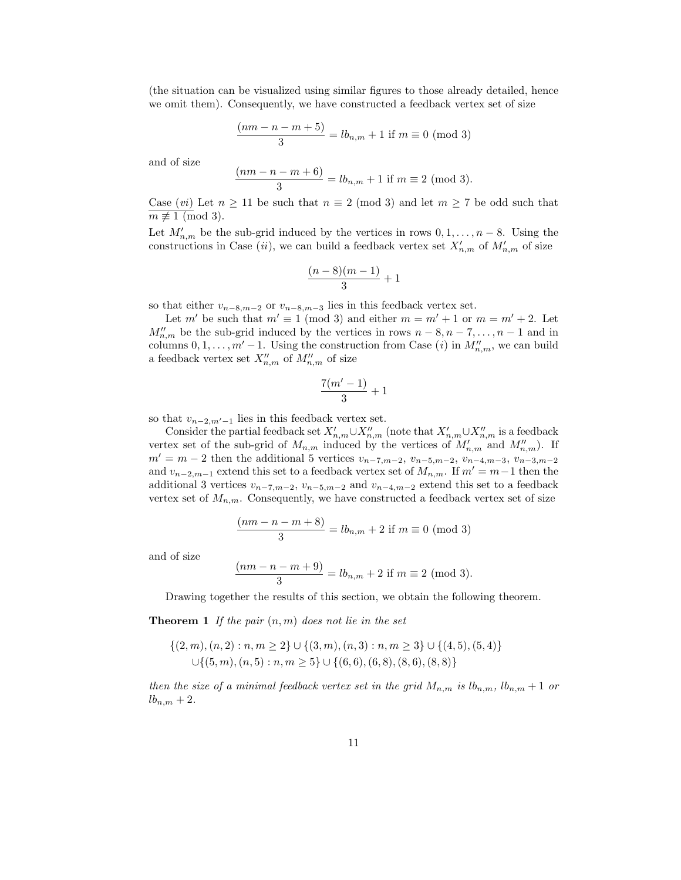(the situation can be visualized using similar figures to those already detailed, hence we omit them). Consequently, we have constructed a feedback vertex set of size

$$
\frac{(nm - n - m + 5)}{3} = lb_{n,m} + 1 \text{ if } m \equiv 0 \pmod{3}
$$

and of size

$$
\frac{(nm - n - m + 6)}{3} = lb_{n,m} + 1 \text{ if } m \equiv 2 \text{ (mod 3)}.
$$

Case (*vi*) Let  $n \ge 11$  be such that  $n \equiv 2 \pmod{3}$  and let  $m \ge 7$  be odd such that  $m \not\equiv 1 \pmod{3}$ .

Let  $M'_{n,m}$  be the sub-grid induced by the vertices in rows  $0, 1, \ldots, n-8$ . Using the constructions in Case (*ii*), we can build a feedback vertex set  $X'_{n,m}$  of  $M'_{n,m}$  of size

$$
\frac{(n-8)(m-1)}{3}+1
$$

so that either  $v_{n-8,m-2}$  or  $v_{n-8,m-3}$  lies in this feedback vertex set.

Let  $m'$  be such that  $m' \equiv 1 \pmod{3}$  and either  $m = m' + 1$  or  $m = m' + 2$ . Let  $M''_{n,m}$  be the sub-grid induced by the vertices in rows  $n-8, n-7, \ldots, n-1$  and in columns  $0, 1, \ldots, m' - 1$ . Using the construction from Case (i) in  $M''_{n,m}$ , we can build a feedback vertex set  $X''_{n,m}$  of  $M''_{n,m}$  of size

$$
\frac{7(m'-1)}{3}+1
$$

so that  $v_{n-2,m'-1}$  lies in this feedback vertex set.

Consider the partial feedback set  $X'_{n,m}\cup X''_{n,m}$  (note that  $X'_{n,m}\cup X''_{n,m}$  is a feedback vertex set of the sub-grid of  $M_{n,m}$  induced by the vertices of  $M'_{n,m}$  and  $M''_{n,m}$ ). If  $m' = m - 2$  then the additional 5 vertices  $v_{n-7,m-2}$ ,  $v_{n-5,m-2}$ ,  $v_{n-4,m-3}$ ,  $v_{n-3,m-2}$ and  $v_{n-2,m-1}$  extend this set to a feedback vertex set of  $M_{n,m}$ . If  $m' = m-1$  then the additional 3 vertices  $v_{n-7,m-2}$ ,  $v_{n-5,m-2}$  and  $v_{n-4,m-2}$  extend this set to a feedback vertex set of  $M_{n,m}$ . Consequently, we have constructed a feedback vertex set of size

$$
\frac{(nm - n - m + 8)}{3} = lb_{n,m} + 2 \text{ if } m \equiv 0 \pmod{3}
$$

and of size

$$
\frac{(nm - n - m + 9)}{3} = lb_{n,m} + 2 \text{ if } m \equiv 2 \text{ (mod 3)}.
$$

Drawing together the results of this section, we obtain the following theorem.

**Theorem 1** If the pair  $(n, m)$  does not lie in the set

$$
\{(2,m),(n,2):n,m\geq 2\}\cup\{(3,m),(n,3):n,m\geq 3\}\cup\{(4,5),(5,4)\}\cup\{(5,m),(n,5):n,m\geq 5\}\cup\{(6,6),(6,8),(8,6),(8,8)\}
$$

then the size of a minimal feedback vertex set in the grid  $M_{n,m}$  is  $lb_{n,m}$ ,  $lb_{n,m} + 1$  or  $lb_{n,m}+2.$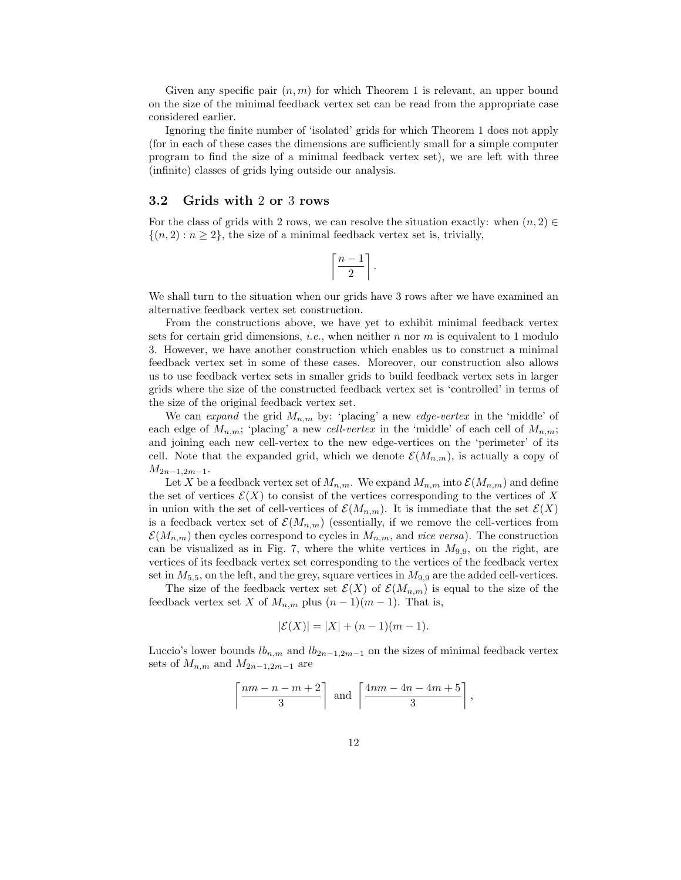Given any specific pair  $(n, m)$  for which Theorem 1 is relevant, an upper bound on the size of the minimal feedback vertex set can be read from the appropriate case considered earlier.

Ignoring the finite number of 'isolated' grids for which Theorem 1 does not apply (for in each of these cases the dimensions are sufficiently small for a simple computer program to find the size of a minimal feedback vertex set), we are left with three (infinite) classes of grids lying outside our analysis.

### 3.2 Grids with 2 or 3 rows

For the class of grids with 2 rows, we can resolve the situation exactly: when  $(n, 2) \in$  ${(n, 2): n > 2}$ , the size of a minimal feedback vertex set is, trivially,

$$
\left\lceil \frac{n-1}{2} \right\rceil.
$$

We shall turn to the situation when our grids have 3 rows after we have examined an alternative feedback vertex set construction.

From the constructions above, we have yet to exhibit minimal feedback vertex sets for certain grid dimensions, *i.e.*, when neither n nor  $m$  is equivalent to 1 modulo 3. However, we have another construction which enables us to construct a minimal feedback vertex set in some of these cases. Moreover, our construction also allows us to use feedback vertex sets in smaller grids to build feedback vertex sets in larger grids where the size of the constructed feedback vertex set is 'controlled' in terms of the size of the original feedback vertex set.

We can expand the grid  $M_{n,m}$  by: 'placing' a new edge-vertex in the 'middle' of each edge of  $M_{n,m}$ ; 'placing' a new cell-vertex in the 'middle' of each cell of  $M_{n,m}$ ; and joining each new cell-vertex to the new edge-vertices on the 'perimeter' of its cell. Note that the expanded grid, which we denote  $\mathcal{E}(M_{n,m})$ , is actually a copy of  $M_{2n-1,2m-1}$ .

Let X be a feedback vertex set of  $M_{n,m}$ . We expand  $M_{n,m}$  into  $\mathcal{E}(M_{n,m})$  and define the set of vertices  $\mathcal{E}(X)$  to consist of the vertices corresponding to the vertices of X in union with the set of cell-vertices of  $\mathcal{E}(M_{n,m})$ . It is immediate that the set  $\mathcal{E}(X)$ is a feedback vertex set of  $\mathcal{E}(M_{n,m})$  (essentially, if we remove the cell-vertices from  $\mathcal{E}(M_{n,m})$  then cycles correspond to cycles in  $M_{n,m}$ , and *vice versa*). The construction can be visualized as in Fig. 7, where the white vertices in  $M_{9,9}$ , on the right, are vertices of its feedback vertex set corresponding to the vertices of the feedback vertex set in  $M_{5,5}$ , on the left, and the grey, square vertices in  $M_{9,9}$  are the added cell-vertices.

The size of the feedback vertex set  $\mathcal{E}(X)$  of  $\mathcal{E}(M_{n,m})$  is equal to the size of the feedback vertex set X of  $M_{n,m}$  plus  $(n-1)(m-1)$ . That is,

$$
|\mathcal{E}(X)| = |X| + (n-1)(m-1).
$$

Luccio's lower bounds  $lb_{n,m}$  and  $lb_{2n-1,2m-1}$  on the sizes of minimal feedback vertex sets of  $M_{n,m}$  and  $M_{2n-1,2m-1}$  are

$$
\left\lceil \frac{nm-n-m+2}{3} \right\rceil \text{ and } \left\lceil \frac{4nm-4n-4m+5}{3} \right\rceil,
$$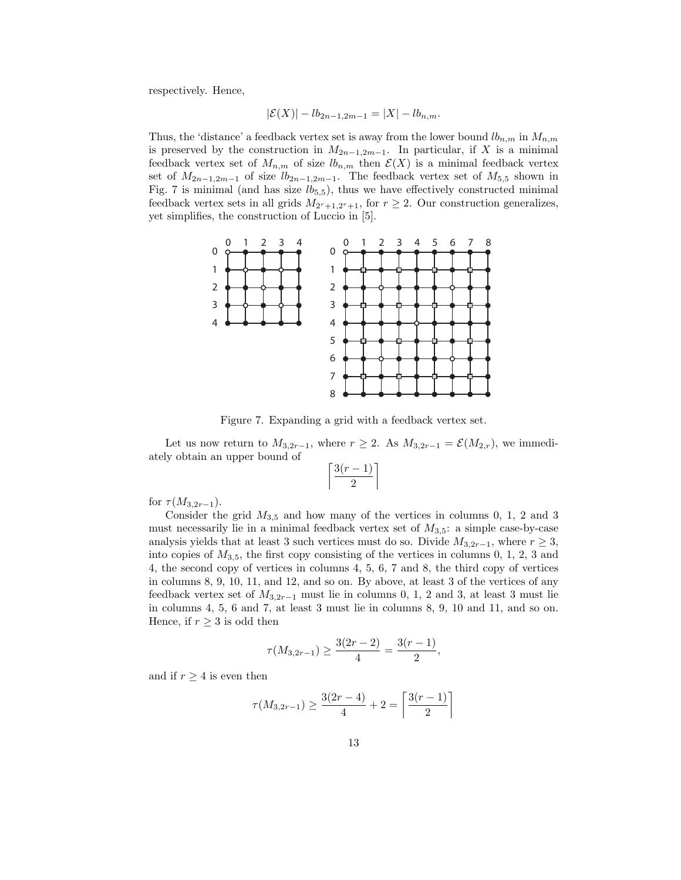respectively. Hence,

$$
|\mathcal{E}(X)| - lb_{2n-1,2m-1} = |X| - lb_{n,m}.
$$

Thus, the 'distance' a feedback vertex set is away from the lower bound  $lb_{n,m}$  in  $M_{n,m}$ is preserved by the construction in  $M_{2n-1,2m-1}$ . In particular, if X is a minimal feedback vertex set of  $M_{n,m}$  of size  $lb_{n,m}$  then  $\mathcal{E}(X)$  is a minimal feedback vertex set of  $M_{2n-1,2m-1}$  of size  $lb_{2n-1,2m-1}$ . The feedback vertex set of  $M_{5,5}$  shown in Fig. 7 is minimal (and has size  $lb_{5,5}$ ), thus we have effectively constructed minimal feedback vertex sets in all grids  $M_{2r+1,2r+1}$ , for  $r \geq 2$ . Our construction generalizes, yet simplifies, the construction of Luccio in [5].



Figure 7. Expanding a grid with a feedback vertex set.

Let us now return to  $M_{3,2r-1}$ , where  $r \geq 2$ . As  $M_{3,2r-1} = \mathcal{E}(M_{2,r})$ , we immediately obtain an upper bound of

$$
\left\lceil \frac{3(r-1)}{2} \right\rceil
$$

for  $\tau(M_{3,2r-1})$ .

Consider the grid  $M_{3.5}$  and how many of the vertices in columns 0, 1, 2 and 3 must necessarily lie in a minimal feedback vertex set of  $M_{3.5}$ : a simple case-by-case analysis yields that at least 3 such vertices must do so. Divide  $M_{3,2r-1}$ , where  $r \geq 3$ , into copies of  $M_{3,5}$ , the first copy consisting of the vertices in columns 0, 1, 2, 3 and 4, the second copy of vertices in columns 4, 5, 6, 7 and 8, the third copy of vertices in columns 8, 9, 10, 11, and 12, and so on. By above, at least 3 of the vertices of any feedback vertex set of  $M_{3,2r-1}$  must lie in columns 0, 1, 2 and 3, at least 3 must lie in columns 4, 5, 6 and 7, at least 3 must lie in columns 8, 9, 10 and 11, and so on. Hence, if  $r \geq 3$  is odd then

$$
\tau(M_{3,2r-1}) \ge \frac{3(2r-2)}{4} = \frac{3(r-1)}{2},
$$

and if  $r \geq 4$  is even then

$$
\tau(M_{3,2r-1}) \ge \frac{3(2r-4)}{4} + 2 = \left\lceil \frac{3(r-1)}{2} \right\rceil
$$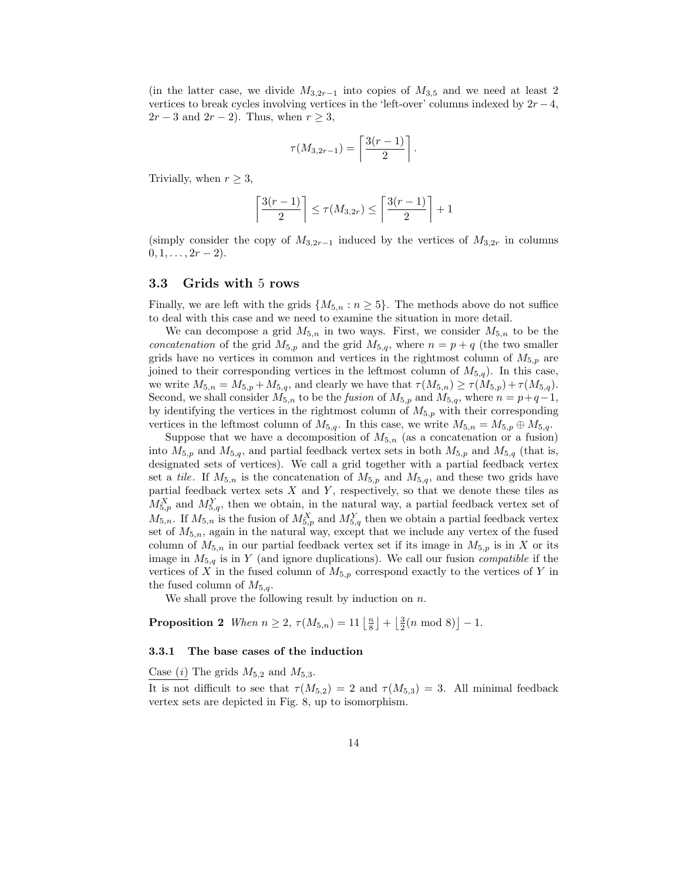(in the latter case, we divide  $M_{3,2r-1}$  into copies of  $M_{3,5}$  and we need at least 2 vertices to break cycles involving vertices in the 'left-over' columns indexed by  $2r-4$ ,  $2r-3$  and  $2r-2$ ). Thus, when  $r \geq 3$ ,

$$
\tau(M_{3,2r-1}) = \left\lceil \frac{3(r-1)}{2} \right\rceil.
$$

Trivially, when  $r \geq 3$ ,

$$
\left\lceil \frac{3(r-1)}{2}\right\rceil \leq \tau(M_{3,2r})\leq \left\lceil \frac{3(r-1)}{2}\right\rceil+1
$$

(simply consider the copy of  $M_{3,2r-1}$  induced by the vertices of  $M_{3,2r}$  in columns  $0, 1, \ldots, 2r-2$ .

### 3.3 Grids with 5 rows

Finally, we are left with the grids  $\{M_{5,n} : n \geq 5\}$ . The methods above do not suffice to deal with this case and we need to examine the situation in more detail.

We can decompose a grid  $M_{5,n}$  in two ways. First, we consider  $M_{5,n}$  to be the concatenation of the grid  $M_{5,p}$  and the grid  $M_{5,q}$ , where  $n = p + q$  (the two smaller grids have no vertices in common and vertices in the rightmost column of  $M_{5,p}$  are joined to their corresponding vertices in the leftmost column of  $M_{5,q}$ ). In this case, we write  $M_{5,n} = M_{5,p} + M_{5,q}$ , and clearly we have that  $\tau(M_{5,n}) \ge \tau(M_{5,p}) + \tau(M_{5,q})$ . Second, we shall consider  $M_{5,n}$  to be the *fusion* of  $M_{5,p}$  and  $M_{5,q}$ , where  $n = p+q-1$ , by identifying the vertices in the rightmost column of  $M_{5,p}$  with their corresponding vertices in the leftmost column of  $M_{5,q}$ . In this case, we write  $M_{5,n} = M_{5,p} \oplus M_{5,q}$ .

Suppose that we have a decomposition of  $M_{5,n}$  (as a concatenation or a fusion) into  $M_{5,p}$  and  $M_{5,q}$ , and partial feedback vertex sets in both  $M_{5,p}$  and  $M_{5,q}$  (that is, designated sets of vertices). We call a grid together with a partial feedback vertex set a tile. If  $M_{5,n}$  is the concatenation of  $M_{5,p}$  and  $M_{5,q}$ , and these two grids have partial feedback vertex sets  $X$  and  $Y$ , respectively, so that we denote these tiles as  $M_{5,p}^X$  and  $M_{5,q}^Y$ , then we obtain, in the natural way, a partial feedback vertex set of  $M_{5,n}$ . If  $M_{5,n}$  is the fusion of  $M_{5,p}^X$  and  $M_{5,q}^Y$  then we obtain a partial feedback vertex set of  $M_{5,n}$ , again in the natural way, except that we include any vertex of the fused column of  $M_{5,n}$  in our partial feedback vertex set if its image in  $M_{5,p}$  is in X or its image in  $M_{5,q}$  is in Y (and ignore duplications). We call our fusion *compatible* if the vertices of X in the fused column of  $M_{5,p}$  correspond exactly to the vertices of Y in the fused column of  $M_{5,q}$ .

We shall prove the following result by induction on  $n$ .

**Proposition 2** When  $n \ge 2$ ,  $\tau(M_{5,n}) = 11 \left\lfloor \frac{n}{8} \right\rfloor + \left\lfloor \frac{3}{2}(n \mod 8) \right\rfloor - 1$ .

#### 3.3.1 The base cases of the induction

Case  $(i)$  The grids  $M_{5,2}$  and  $M_{5,3}$ .

It is not difficult to see that  $\tau(M_{5,2}) = 2$  and  $\tau(M_{5,3}) = 3$ . All minimal feedback vertex sets are depicted in Fig. 8, up to isomorphism.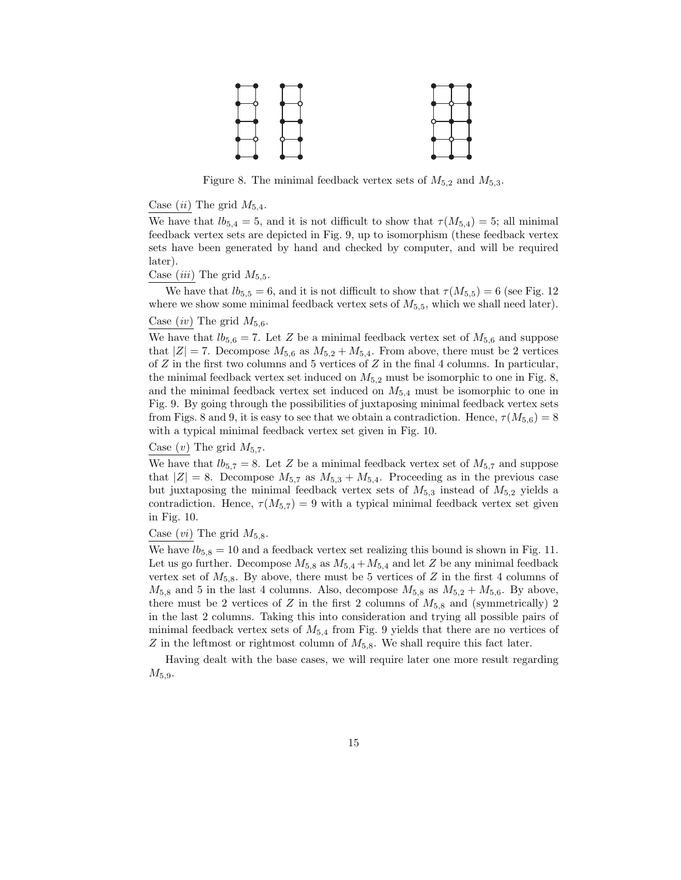

Figure 8. The minimal feedback vertex sets of  $M_{5,2}$  and  $M_{5,3}$ .

Case  $(ii)$  The grid  $M_{5,4}$ .

We have that  $lb_{5,4} = 5$ , and it is not difficult to show that  $\tau(M_{5,4}) = 5$ ; all minimal feedback vertex sets are depicted in Fig. 9, up to isomorphism (these feedback vertex sets have been generated by hand and checked by computer, and will be required later).

Case *(iii)* The grid  $M_{5,5}$ .

We have that  $lb_{5,5} = 6$ , and it is not difficult to show that  $\tau(M_{5,5}) = 6$  (see Fig. 12) where we show some minimal feedback vertex sets of  $M_{5,5}$ , which we shall need later).

#### Case  $(iv)$  The grid  $M_{5,6}$ .

We have that  $lb_{5,6} = 7$ . Let Z be a minimal feedback vertex set of  $M_{5,6}$  and suppose that  $|Z| = 7$ . Decompose  $M_{5,6}$  as  $M_{5,2} + M_{5,4}$ . From above, there must be 2 vertices of  $Z$  in the first two columns and 5 vertices of  $Z$  in the final 4 columns. In particular, the minimal feedback vertex set induced on  $M_{5,2}$  must be isomorphic to one in Fig. 8, and the minimal feedback vertex set induced on  $M_{5,4}$  must be isomorphic to one in Fig. 9. By going through the possibilities of juxtaposing minimal feedback vertex sets from Figs. 8 and 9, it is easy to see that we obtain a contradiction. Hence,  $\tau(M_{5,6}) = 8$ with a typical minimal feedback vertex set given in Fig. 10.

#### Case  $(v)$  The grid  $M_{5,7}$ .

We have that  $lb_{5,7} = 8$ . Let Z be a minimal feedback vertex set of  $M_{5,7}$  and suppose that  $|Z| = 8$ . Decompose  $M_{5,7}$  as  $M_{5,3} + M_{5,4}$ . Proceeding as in the previous case but juxtaposing the minimal feedback vertex sets of  $M_{5,3}$  instead of  $M_{5,2}$  yields a contradiction. Hence,  $\tau(M_{5,7}) = 9$  with a typical minimal feedback vertex set given in Fig. 10.

#### Case  $(v_i)$  The grid  $M_{5,8}$ .

We have  $lb_{5,8} = 10$  and a feedback vertex set realizing this bound is shown in Fig. 11. Let us go further. Decompose  $M_{5,8}$  as  $M_{5,4}+M_{5,4}$  and let Z be any minimal feedback vertex set of  $M_{5,8}$ . By above, there must be 5 vertices of Z in the first 4 columns of  $M_{5,8}$  and 5 in the last 4 columns. Also, decompose  $M_{5,8}$  as  $M_{5,2} + M_{5,6}$ . By above, there must be 2 vertices of Z in the first 2 columns of  $M_{5,8}$  and (symmetrically) 2 in the last 2 columns. Taking this into consideration and trying all possible pairs of minimal feedback vertex sets of  $M_{5,4}$  from Fig. 9 yields that there are no vertices of  $Z$  in the leftmost or rightmost column of  $M_{5,8}$ . We shall require this fact later.

Having dealt with the base cases, we will require later one more result regarding  $M_{5,9}.$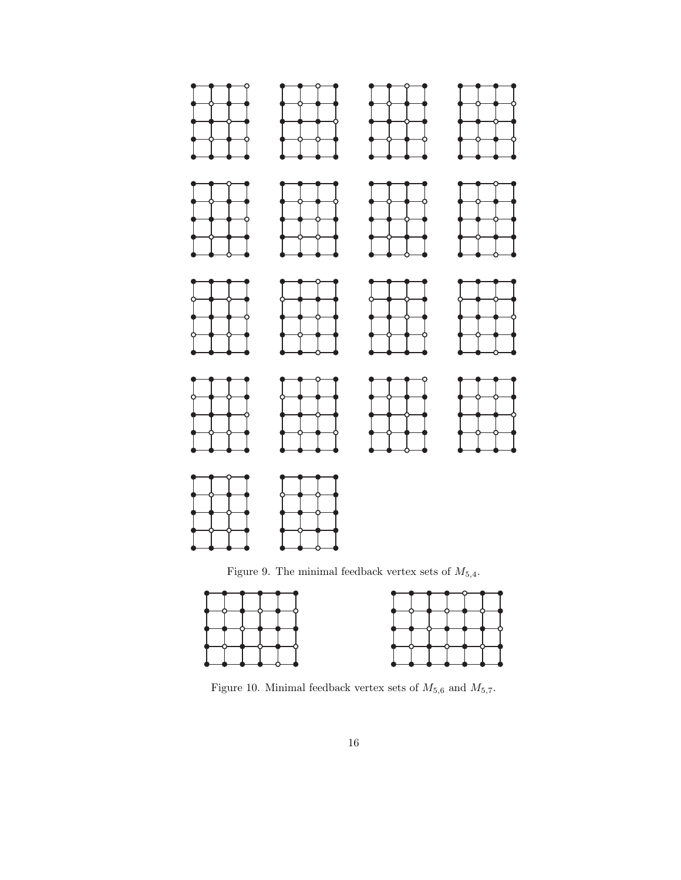

Figure 9. The minimal feedback vertex sets of  $M_{5,4}$ .



Figure 10. Minimal feedback vertex sets of  $M_{5,6}$  and  $M_{5,7}.$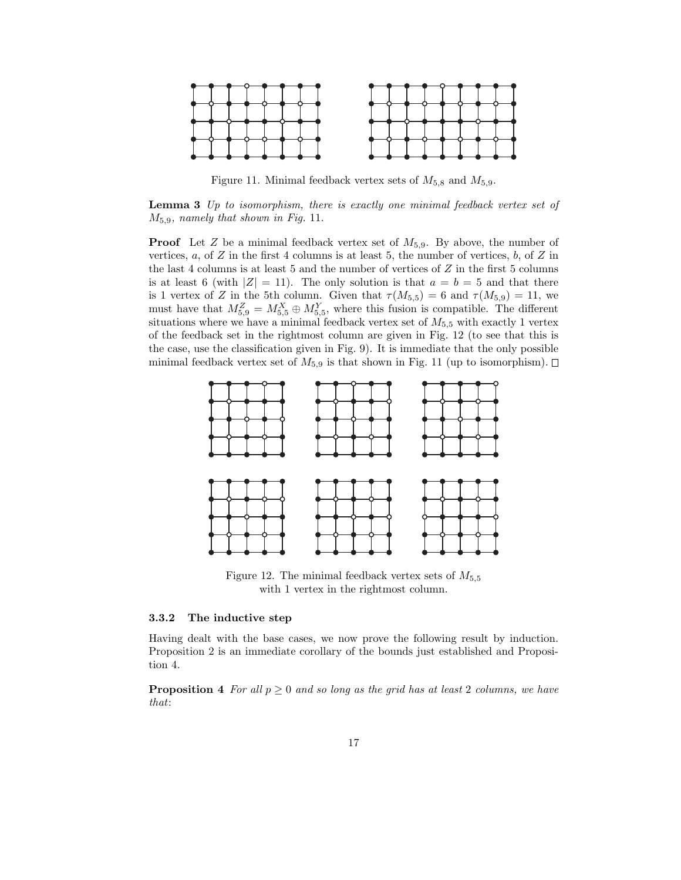

Figure 11. Minimal feedback vertex sets of  $M_{5,8}$  and  $M_{5,9}$ .

Lemma 3 Up to isomorphism, there is exactly one minimal feedback vertex set of  $M_{5,9}$ , namely that shown in Fig. 11.

**Proof** Let Z be a minimal feedback vertex set of  $M_{5,9}$ . By above, the number of vertices,  $a$ , of  $Z$  in the first 4 columns is at least 5, the number of vertices,  $b$ , of  $Z$  in the last 4 columns is at least 5 and the number of vertices of  $Z$  in the first 5 columns is at least 6 (with  $|Z| = 11$ ). The only solution is that  $a = b = 5$  and that there is 1 vertex of Z in the 5th column. Given that  $\tau(M_{5,5}) = 6$  and  $\tau(M_{5,9}) = 11$ , we must have that  $M_{5,9}^Z = M_{5,5}^X \oplus M_{5,5}^Y$ , where this fusion is compatible. The different situations where we have a minimal feedback vertex set of  $M_{5,5}$  with exactly 1 vertex of the feedback set in the rightmost column are given in Fig. 12 (to see that this is the case, use the classification given in Fig. 9). It is immediate that the only possible minimal feedback vertex set of  $M_{5,9}$  is that shown in Fig. 11 (up to isomorphism).  $\Box$ 



Figure 12. The minimal feedback vertex sets of  $M_{5.5}$ with 1 vertex in the rightmost column.

#### 3.3.2 The inductive step

Having dealt with the base cases, we now prove the following result by induction. Proposition 2 is an immediate corollary of the bounds just established and Proposition 4.

**Proposition 4** For all  $p \ge 0$  and so long as the grid has at least 2 columns, we have that: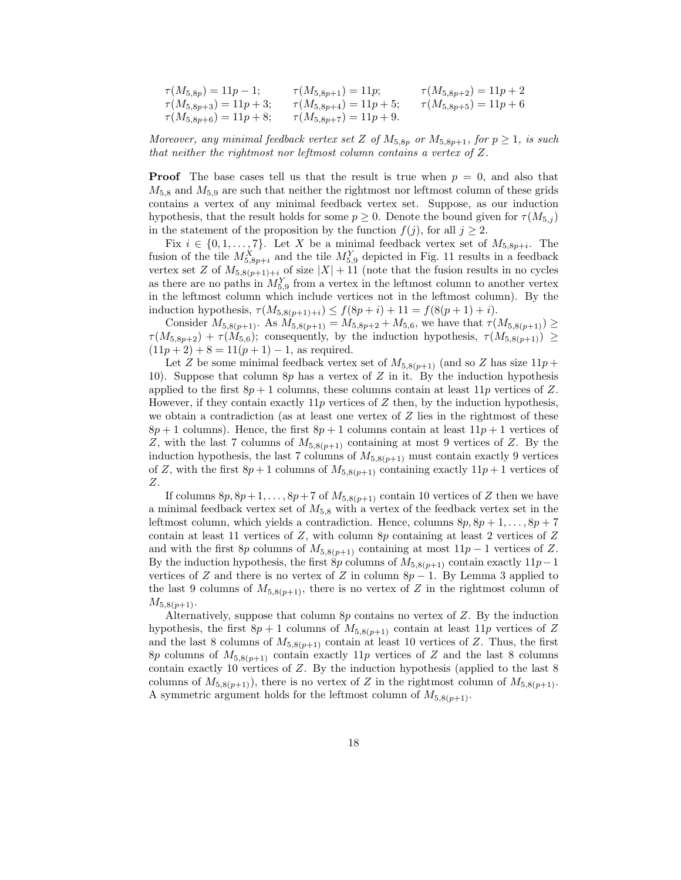| $\tau(M_{5,8p}) = 11p - 1;$ | $\tau(M_{5,8p+1}) = 11p;$     | $\tau(M_{5,8p+2}) = 11p+2$ |
|-----------------------------|-------------------------------|----------------------------|
| $\tau(M_{5,8p+3}) = 11p+3;$ | $\tau(M_{5,8p+4}) = 11p+5;$   | $\tau(M_{5,8p+5}) = 11p+6$ |
| $\tau(M_{5,8p+6}) = 11p+8;$ | $\tau(M_{5,8p+7}) = 11p + 9.$ |                            |

Moreover, any minimal feedback vertex set Z of  $M_{5,8p}$  or  $M_{5,8p+1}$ , for  $p \geq 1$ , is such that neither the rightmost nor leftmost column contains a vertex of Z.

**Proof** The base cases tell us that the result is true when  $p = 0$ , and also that  $M_{5,8}$  and  $M_{5,9}$  are such that neither the rightmost nor leftmost column of these grids contains a vertex of any minimal feedback vertex set. Suppose, as our induction hypothesis, that the result holds for some  $p \geq 0$ . Denote the bound given for  $\tau(M_{5,i})$ in the statement of the proposition by the function  $f(j)$ , for all  $j \geq 2$ .

Fix  $i \in \{0, 1, \ldots, 7\}$ . Let X be a minimal feedback vertex set of  $M_{5,8p+i}$ . The fusion of the tile  $M_{5,8p+i}^X$  and the tile  $M_{5,9}^Y$  depicted in Fig. 11 results in a feedback vertex set Z of  $M_{5,8(p+1)+i}$  of size  $|X| + 11$  (note that the fusion results in no cycles as there are no paths in  $M_{5,9}^Y$  from a vertex in the leftmost column to another vertex in the leftmost column which include vertices not in the leftmost column). By the induction hypothesis,  $\tau(M_{5,8(p+1)+i}) \le f(8p+i) + 11 = f(8(p+1)+i).$ 

Consider  $M_{5,8(p+1)}$ . As  $M_{5,8(p+1)} = M_{5,8p+2} + M_{5,6}$ , we have that  $\tau(M_{5,8(p+1)}) \ge$  $\tau(M_{5,8p+2}) + \tau(M_{5,6})$ ; consequently, by the induction hypothesis,  $\tau(M_{5,8(p+1)}) \ge$  $(11p + 2) + 8 = 11(p + 1) - 1$ , as required.

Let Z be some minimal feedback vertex set of  $M_{5,8(p+1)}$  (and so Z has size  $11p +$ 10). Suppose that column  $8p$  has a vertex of Z in it. By the induction hypothesis applied to the first  $8p + 1$  columns, these columns contain at least  $11p$  vertices of Z. However, if they contain exactly  $11p$  vertices of Z then, by the induction hypothesis, we obtain a contradiction (as at least one vertex of  $Z$  lies in the rightmost of these  $8p + 1$  columns). Hence, the first  $8p + 1$  columns contain at least  $11p + 1$  vertices of Z, with the last 7 columns of  $M_{5,8(p+1)}$  containing at most 9 vertices of Z. By the induction hypothesis, the last 7 columns of  $M_{5,8(p+1)}$  must contain exactly 9 vertices of Z, with the first  $8p + 1$  columns of  $M_{5,8(p+1)}$  containing exactly  $11p + 1$  vertices of Z.

If columns  $8p, 8p+1, \ldots, 8p+7$  of  $M_{5,8(p+1)}$  contain 10 vertices of Z then we have a minimal feedback vertex set of  $M_{5,8}$  with a vertex of the feedback vertex set in the leftmost column, which yields a contradiction. Hence, columns  $8p, 8p + 1, \ldots, 8p + 7$ contain at least 11 vertices of  $Z$ , with column 8p containing at least 2 vertices of  $Z$ and with the first 8p columns of  $M_{5,8(p+1)}$  containing at most  $11p-1$  vertices of Z. By the induction hypothesis, the first 8p columns of  $M_{5,8(p+1)}$  contain exactly  $11p-1$ vertices of Z and there is no vertex of Z in column  $8p - 1$ . By Lemma 3 applied to the last 9 columns of  $M_{5,8(p+1)}$ , there is no vertex of Z in the rightmost column of  $M_{5,8(p+1)}$ .

Alternatively, suppose that column  $8p$  contains no vertex of  $Z$ . By the induction hypothesis, the first  $8p + 1$  columns of  $M_{5,8(p+1)}$  contain at least 11p vertices of Z and the last 8 columns of  $M_{5,8(p+1)}$  contain at least 10 vertices of Z. Thus, the first 8p columns of  $M_{5,8(p+1)}$  contain exactly 11p vertices of Z and the last 8 columns contain exactly 10 vertices of Z. By the induction hypothesis (applied to the last 8 columns of  $M_{5,8(p+1)}$ , there is no vertex of Z in the rightmost column of  $M_{5,8(p+1)}$ . A symmetric argument holds for the leftmost column of  $M_{5,8(p+1)}$ .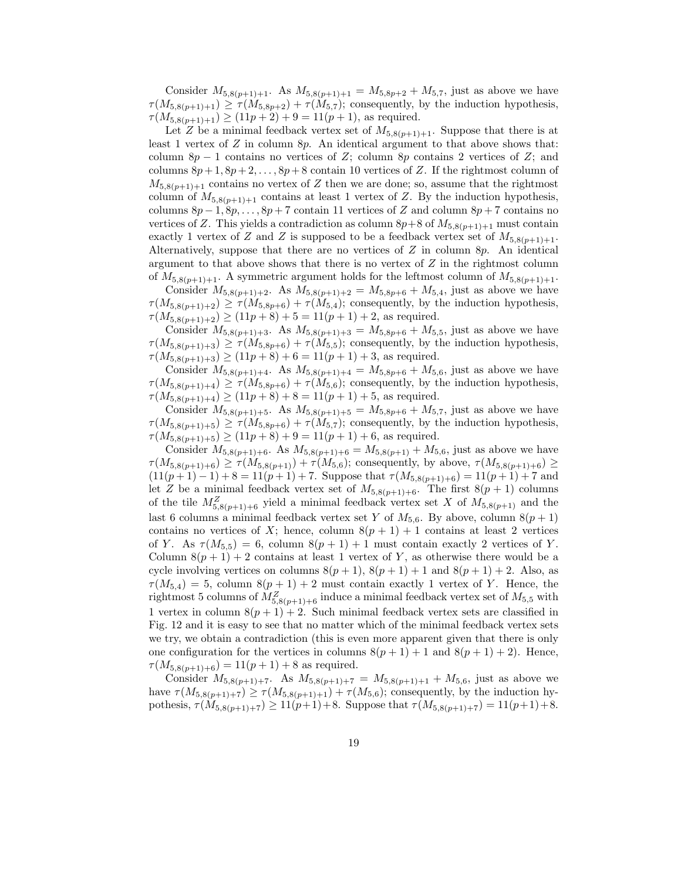Consider  $M_{5,8(p+1)+1}$ . As  $M_{5,8(p+1)+1} = M_{5,8p+2} + M_{5,7}$ , just as above we have  $\tau(M_{5,8(p+1)+1}) \geq \tau(M_{5,8p+2}) + \tau(M_{5,7});$  consequently, by the induction hypothesis,  $\tau(M_{5,8(p+1)+1}) \ge (11p+2) + 9 = 11(p+1)$ , as required.

Let Z be a minimal feedback vertex set of  $M_{5,8(n+1)+1}$ . Suppose that there is at least 1 vertex of  $Z$  in column  $8p$ . An identical argument to that above shows that: column 8p − 1 contains no vertices of Z; column 8p contains 2 vertices of Z; and columns  $8p+1, 8p+2, \ldots, 8p+8$  contain 10 vertices of Z. If the rightmost column of  $M_{5,8(p+1)+1}$  contains no vertex of Z then we are done; so, assume that the rightmost column of  $M_{5,8(p+1)+1}$  contains at least 1 vertex of Z. By the induction hypothesis, columns  $8p-1, 8p, \ldots, 8p+7$  contain 11 vertices of Z and column  $8p+7$  contains no vertices of Z. This yields a contradiction as column  $8p+8$  of  $M_{5,8(p+1)+1}$  must contain exactly 1 vertex of Z and Z is supposed to be a feedback vertex set of  $M_{5,8(p+1)+1}$ . Alternatively, suppose that there are no vertices of  $Z$  in column 8 $p$ . An identical argument to that above shows that there is no vertex of  $Z$  in the rightmost column of  $M_{5,8(p+1)+1}$ . A symmetric argument holds for the leftmost column of  $M_{5,8(p+1)+1}$ .

Consider  $M_{5,8(p+1)+2}$ . As  $M_{5,8(p+1)+2} = M_{5,8p+6} + M_{5,4}$ , just as above we have  $\tau(M_{5,8(p+1)+2}) \geq \tau(M_{5,8p+6}) + \tau(M_{5,4});$  consequently, by the induction hypothesis,  $\tau(M_{5,8(p+1)+2}) \ge (11p+8) + 5 = 11(p+1) + 2$ , as required.

Consider  $M_{5,8(p+1)+3}$ . As  $M_{5,8(p+1)+3} = M_{5,8p+6} + M_{5,5}$ , just as above we have  $\tau(M_{5,8(p+1)+3}) \geq \tau(M_{5,8p+6}) + \tau(M_{5,5})$ ; consequently, by the induction hypothesis,  $\tau(M_{5,8(p+1)+3}) \ge (11p+8) + 6 = 11(p+1) + 3$ , as required.

Consider  $M_{5,8(p+1)+4}$ . As  $M_{5,8(p+1)+4} = M_{5,8p+6} + M_{5,6}$ , just as above we have  $\tau(M_{5,8(p+1)+4}) \geq \tau(M_{5,8p+6}) + \tau(M_{5,6})$ ; consequently, by the induction hypothesis,  $\tau(M_{5,8(p+1)+4}) \ge (11p+8) + 8 = 11(p+1) + 5$ , as required.

Consider  $M_{5,8(p+1)+5}$ . As  $M_{5,8(p+1)+5} = M_{5,8p+6} + M_{5,7}$ , just as above we have  $\tau(M_{5,8(p+1)+5}) \geq \tau(M_{5,8p+6}) + \tau(M_{5,7});$  consequently, by the induction hypothesis,  $\tau(M_{5,8(p+1)+5}) \ge (11p+8) + 9 = 11(p+1) + 6$ , as required.

Consider  $M_{5,8(p+1)+6}$ . As  $M_{5,8(p+1)+6} = M_{5,8(p+1)} + M_{5,6}$ , just as above we have  $\tau(M_{5,8(p+1)+6}) \geq \tau(M_{5,8(p+1)}) + \tau(M_{5,6})$ ; consequently, by above,  $\tau(M_{5,8(p+1)+6}) \geq$  $(11(p+1)-1)+8=11(p+1)+7$ . Suppose that  $\tau(M_{5,8(p+1)+6})=11(p+1)+7$  and let Z be a minimal feedback vertex set of  $M_{5,8(p+1)+6}$ . The first  $8(p + 1)$  columns of the tile  $M_{5,8(p+1)+6}^Z$  yield a minimal feedback vertex set X of  $M_{5,8(p+1)}$  and the last 6 columns a minimal feedback vertex set Y of  $M_{5,6}$ . By above, column  $8(p+1)$ contains no vertices of X; hence, column  $8(p + 1) + 1$  contains at least 2 vertices of Y. As  $\tau(M_{5,5}) = 6$ , column  $8(p+1)+1$  must contain exactly 2 vertices of Y. Column  $8(p + 1) + 2$  contains at least 1 vertex of Y, as otherwise there would be a cycle involving vertices on columns  $8(p + 1)$ ,  $8(p + 1) + 1$  and  $8(p + 1) + 2$ . Also, as  $\tau(M_{5,4}) = 5$ , column  $8(p + 1) + 2$  must contain exactly 1 vertex of Y. Hence, the rightmost 5 columns of  $M_{5,8(p+1)+6}^Z$  induce a minimal feedback vertex set of  $M_{5,5}$  with 1 vertex in column  $8(p+1)+2$ . Such minimal feedback vertex sets are classified in Fig. 12 and it is easy to see that no matter which of the minimal feedback vertex sets we try, we obtain a contradiction (this is even more apparent given that there is only one configuration for the vertices in columns  $8(p + 1) + 1$  and  $8(p + 1) + 2$ ). Hence,  $\tau(M_{5,8(p+1)+6}) = 11(p+1) + 8$  as required.

Consider  $M_{5,8(p+1)+7}$ . As  $M_{5,8(p+1)+7} = M_{5,8(p+1)+1} + M_{5,6}$ , just as above we have  $\tau(M_{5,8(p+1)+7}) \ge \tau(M_{5,8(p+1)+1}) + \tau(M_{5,6})$ ; consequently, by the induction hypothesis,  $\tau(M_{5,8(p+1)+7}) \ge 11(p+1)+8$ . Suppose that  $\tau(M_{5,8(p+1)+7}) = 11(p+1)+8$ .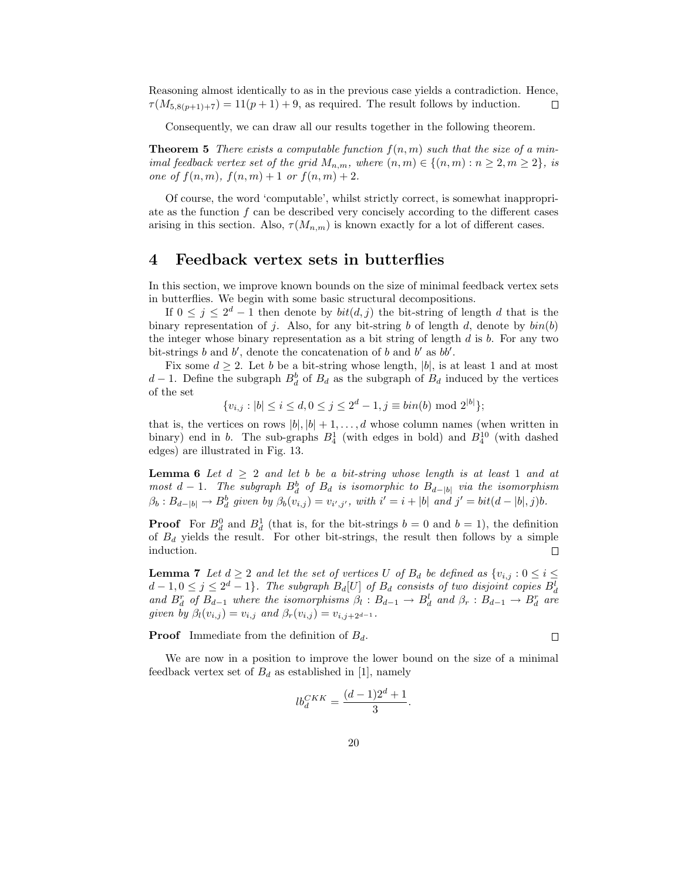Reasoning almost identically to as in the previous case yields a contradiction. Hence,  $\tau(M_{5,8(p+1)+7}) = 11(p+1)+9$ , as required. The result follows by induction. П

Consequently, we can draw all our results together in the following theorem.

**Theorem 5** There exists a computable function  $f(n, m)$  such that the size of a minimal feedback vertex set of the grid  $M_{n,m}$ , where  $(n,m) \in \{(n,m): n \geq 2, m \geq 2\}$ , is one of  $f(n, m)$ ,  $f(n, m) + 1$  or  $f(n, m) + 2$ .

Of course, the word 'computable', whilst strictly correct, is somewhat inappropriate as the function  $f$  can be described very concisely according to the different cases arising in this section. Also,  $\tau(M_{n,m})$  is known exactly for a lot of different cases.

### 4 Feedback vertex sets in butterflies

In this section, we improve known bounds on the size of minimal feedback vertex sets in butterflies. We begin with some basic structural decompositions.

If  $0 \leq j \leq 2^d - 1$  then denote by  $bit(d, j)$  the bit-string of length d that is the binary representation of j. Also, for any bit-string b of length d, denote by  $\text{bin}(b)$ the integer whose binary representation as a bit string of length  $d$  is  $b$ . For any two bit-strings  $b$  and  $b'$ , denote the concatenation of  $b$  and  $b'$  as  $bb'$ .

Fix some  $d \geq 2$ . Let b be a bit-string whose length, |b|, is at least 1 and at most  $d-1$ . Define the subgraph  $B_d^b$  of  $B_d$  as the subgraph of  $B_d$  induced by the vertices of the set

$$
\{v_{i,j} : |b| \le i \le d, 0 \le j \le 2^d - 1, j \equiv bin(b) \mod 2^{|b|}\};
$$

that is, the vertices on rows  $|b|, |b| + 1, \ldots, d$  whose column names (when written in binary) end in b. The sub-graphs  $B_4^1$  (with edges in bold) and  $B_4^{10}$  (with dashed edges) are illustrated in Fig. 13.

**Lemma 6** Let  $d \geq 2$  and let b be a bit-string whose length is at least 1 and at most  $d-1$ . The subgraph  $B_d^b$  of  $B_d$  is isomorphic to  $B_{d-|b|}$  via the isomorphism  $\beta_b: B_{d-|b|} \to B^b_d$  given by  $\beta_b(v_{i,j}) = v_{i',j'}$ , with  $i' = i + |b|$  and  $j' = bit(d-|b|,j)b$ .

**Proof** For  $B_d^0$  and  $B_d^1$  (that is, for the bit-strings  $b = 0$  and  $b = 1$ ), the definition of  $B_d$  yields the result. For other bit-strings, the result then follows by a simple induction.

**Lemma 7** Let  $d \geq 2$  and let the set of vertices U of  $B_d$  be defined as  $\{v_{i,j} : 0 \leq i \leq j\}$  $d-1, 0 \leq j \leq 2^d-1$ . The subgraph  $B_d[U]$  of  $B_d$  consists of two disjoint copies  $B_d^l$  and  $B_d^r$  of  $B_{d-1}$  where the isomorphisms  $\beta_l : B_{d-1} \to B_d^l$  and  $\beta_r : B_{d-1} \to B_d^r$  are given by  $\beta_l(v_{i,j}) = v_{i,j}$  and  $\beta_r(v_{i,j}) = v_{i,j+2^{d-1}}$ .

**Proof** Immediate from the definition of  $B_d$ .

$$
\Box
$$

We are now in a position to improve the lower bound on the size of a minimal feedback vertex set of  $B_d$  as established in [1], namely

$$
lb_d^{CKK} = \frac{(d-1)2^d + 1}{3}.
$$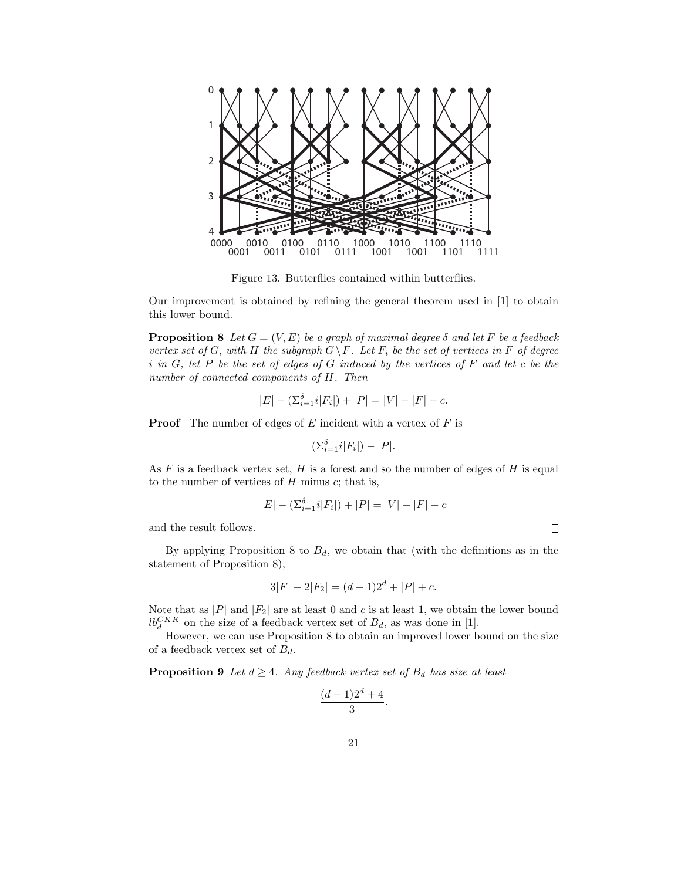

Figure 13. Butterflies contained within butterflies.

Our improvement is obtained by refining the general theorem used in [1] to obtain this lower bound.

**Proposition 8** Let  $G = (V, E)$  be a graph of maximal degree  $\delta$  and let F be a feedback vertex set of G, with H the subgraph  $G \backslash F$ . Let  $F_i$  be the set of vertices in F of degree i in G, let P be the set of edges of G induced by the vertices of F and let c be the number of connected components of H. Then

$$
|E| - (\Sigma_{i=1}^{\delta} i |F_i|) + |P| = |V| - |F| - c.
$$

**Proof** The number of edges of  $E$  incident with a vertex of  $F$  is

$$
(\Sigma_{i=1}^{\delta}i|F_i|) - |P|.
$$

As  $F$  is a feedback vertex set,  $H$  is a forest and so the number of edges of  $H$  is equal to the number of vertices of  $H$  minus  $c$ ; that is,

$$
|E| - (\Sigma_{i=1}^{\delta} i |F_i|) + |P| = |V| - |F| - c
$$

 $\Box$ 

and the result follows.

By applying Proposition 8 to  $B_d$ , we obtain that (with the definitions as in the statement of Proposition 8),

$$
3|F| - 2|F_2| = (d-1)2^d + |P| + c.
$$

Note that as  $|P|$  and  $|F_2|$  are at least 0 and c is at least 1, we obtain the lower bound  $lb_d^{CKK}$  on the size of a feedback vertex set of  $B_d$ , as was done in [1].

However, we can use Proposition 8 to obtain an improved lower bound on the size of a feedback vertex set of  $B_d$ .

**Proposition 9** Let  $d \geq 4$ . Any feedback vertex set of  $B_d$  has size at least

$$
\frac{(d-1)2^d+4}{3}.
$$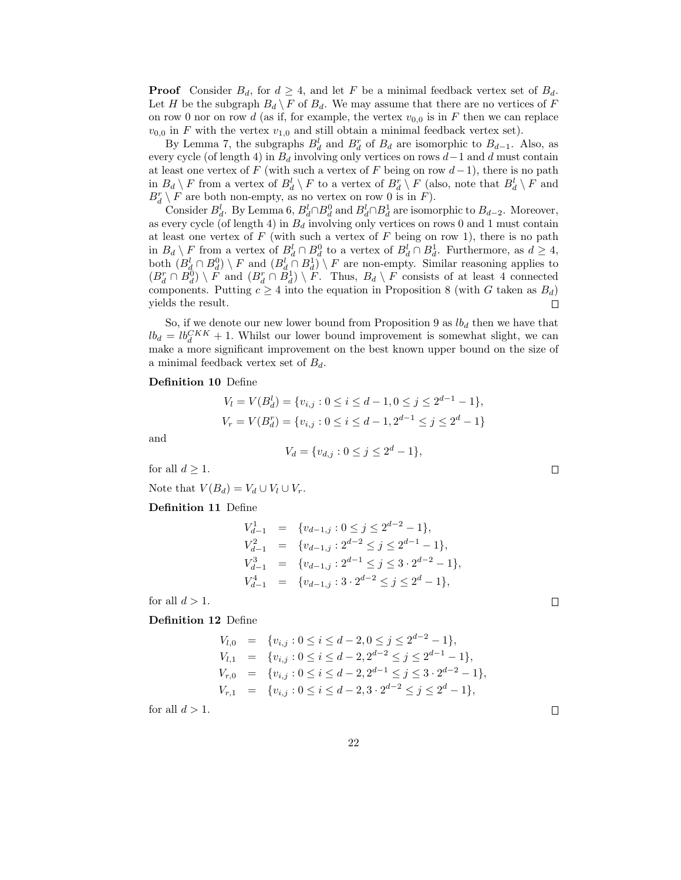**Proof** Consider  $B_d$ , for  $d \geq 4$ , and let F be a minimal feedback vertex set of  $B_d$ . Let H be the subgraph  $B_d \backslash F$  of  $B_d$ . We may assume that there are no vertices of F on row 0 nor on row d (as if, for example, the vertex  $v_{0,0}$  is in F then we can replace  $v_{0,0}$  in F with the vertex  $v_{1,0}$  and still obtain a minimal feedback vertex set).

By Lemma 7, the subgraphs  $B_d^l$  and  $B_d^r$  of  $B_d$  are isomorphic to  $B_{d-1}$ . Also, as every cycle (of length 4) in  $B_d$  involving only vertices on rows  $d-1$  and d must contain at least one vertex of F (with such a vertex of F being on row  $d-1$ ), there is no path in  $B_d \setminus F$  from a vertex of  $B_d^l \setminus F$  to a vertex of  $B_d^r \setminus F$  (also, note that  $B_d^l \setminus F$  and  $B_d^r \setminus F$  are both non-empty, as no vertex on row 0 is in  $F$ ).

Consider  $B_d^l$ . By Lemma 6,  $B_d^l \cap B_d^0$  and  $B_d^l \cap B_d^1$  are isomorphic to  $B_{d-2}$ . Moreover, as every cycle (of length 4) in  $B_d$  involving only vertices on rows 0 and 1 must contain at least one vertex of  $F$  (with such a vertex of  $F$  being on row 1), there is no path in  $B_d \setminus F$  from a vertex of  $B_d^l \cap B_d^0$  to a vertex of  $B_d^l \cap B_d^1$ . Furthermore, as  $d \geq 4$ , both  $(B_d^l \cap B_d^0) \setminus F$  and  $(B_d^l \cap B_d^1) \setminus F$  are non-empty. Similar reasoning applies to  $(B_d^r \cap B_d^0) \setminus F$  and  $(B_d^r \cap B_d^1) \setminus F$ . Thus,  $B_d \setminus F$  consists of at least 4 connected components. Putting  $c \geq 4$  into the equation in Proposition 8 (with G taken as  $B_d$ ) yields the result. □

So, if we denote our new lower bound from Proposition 9 as  $lb_d$  then we have that  $lb_d = lb_d^{CKK} + 1$ . Whilst our lower bound improvement is somewhat slight, we can make a more significant improvement on the best known upper bound on the size of a minimal feedback vertex set of  $B_d$ .

#### Definition 10 Define

$$
V_l = V(B_d^l) = \{v_{i,j} : 0 \le i \le d - 1, 0 \le j \le 2^{d-1} - 1\},\
$$
  

$$
V_r = V(B_d^r) = \{v_{i,j} : 0 \le i \le d - 1, 2^{d-1} \le j \le 2^d - 1\}
$$

and

$$
V_d = \{v_{d,j} : 0 \le j \le 2^d - 1\},\
$$

for all  $d \geq 1$ .

Note that  $V(B_d) = V_d \cup V_l \cup V_r$ .

Definition 11 Define

$$
V_{d-1}^1 = \{v_{d-1,j} : 0 \le j \le 2^{d-2} - 1\},
$$
  
\n
$$
V_{d-1}^2 = \{v_{d-1,j} : 2^{d-2} \le j \le 2^{d-1} - 1\},
$$
  
\n
$$
V_{d-1}^3 = \{v_{d-1,j} : 2^{d-1} \le j \le 3 \cdot 2^{d-2} - 1\},
$$
  
\n
$$
V_{d-1}^4 = \{v_{d-1,j} : 3 \cdot 2^{d-2} \le j \le 2^d - 1\},
$$

for all  $d > 1$ .

Definition 12 Define

$$
V_{l,0} = \{v_{i,j} : 0 \le i \le d-2, 0 \le j \le 2^{d-2} - 1\},
$$
  
\n
$$
V_{l,1} = \{v_{i,j} : 0 \le i \le d-2, 2^{d-2} \le j \le 2^{d-1} - 1\},
$$
  
\n
$$
V_{r,0} = \{v_{i,j} : 0 \le i \le d-2, 2^{d-1} \le j \le 3 \cdot 2^{d-2} - 1\},
$$
  
\n
$$
V_{r,1} = \{v_{i,j} : 0 \le i \le d-2, 3 \cdot 2^{d-2} \le j \le 2^d - 1\},
$$

for all  $d > 1$ .

 $\Box$ 

 $\Box$ 

 $\Box$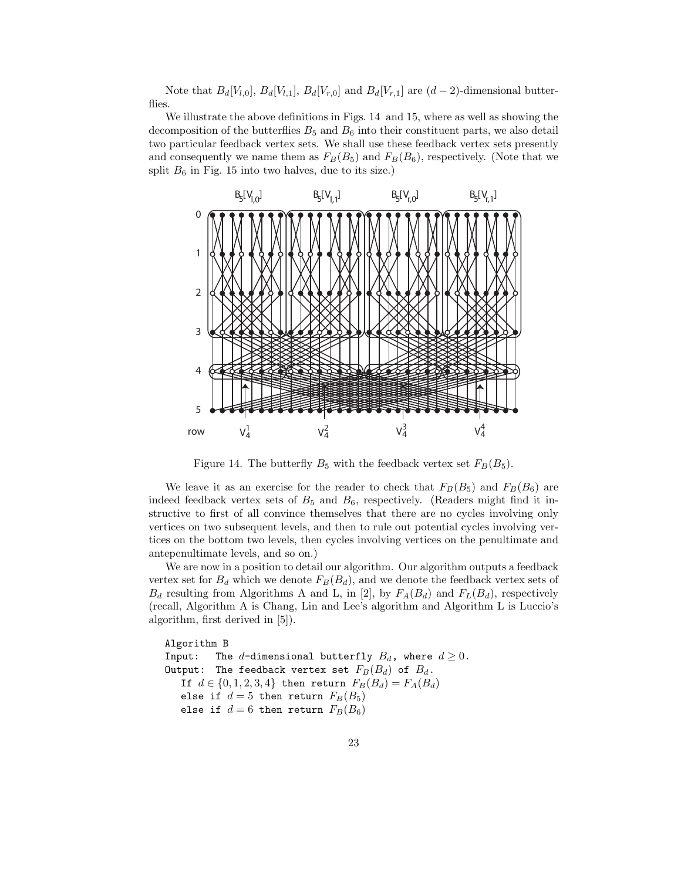Note that  $B_d[V_{l,0}], B_d[V_{l,1}], B_d[V_{r,0}]$  and  $B_d[V_{r,1}]$  are  $(d-2)$ -dimensional butterflies.

We illustrate the above definitions in Figs. 14 and 15, where as well as showing the decomposition of the butterflies  $B_5$  and  $B_6$  into their constituent parts, we also detail two particular feedback vertex sets. We shall use these feedback vertex sets presently and consequently we name them as  $F_B(B_5)$  and  $F_B(B_6)$ , respectively. (Note that we split  $B_6$  in Fig. 15 into two halves, due to its size.)



Figure 14. The butterfly  $B_5$  with the feedback vertex set  $F_B(B_5)$ .

We leave it as an exercise for the reader to check that  $F_B(B_5)$  and  $F_B(B_6)$  are indeed feedback vertex sets of  $B_5$  and  $B_6$ , respectively. (Readers might find it instructive to first of all convince themselves that there are no cycles involving only vertices on two subsequent levels, and then to rule out potential cycles involving vertices on the bottom two levels, then cycles involving vertices on the penultimate and antepenultimate levels, and so on.)

We are now in a position to detail our algorithm. Our algorithm outputs a feedback vertex set for  $B_d$  which we denote  $F_B(B_d)$ , and we denote the feedback vertex sets of  $B_d$  resulting from Algorithms A and L, in [2], by  $F_A(B_d)$  and  $F_L(B_d)$ , respectively (recall, Algorithm A is Chang, Lin and Lee's algorithm and Algorithm L is Luccio's algorithm, first derived in [5]).

```
Algorithm B
Input: The d-dimensional butterfly B_d, where d \geq 0.
Output: The feedback vertex set F_B(B_d) of B_d.
   If d \in \{0, 1, 2, 3, 4\} then return F_B(B_d) = F_A(B_d)else if d = 5 then return F_B(B_5)else if d = 6 then return F_B(B_6)
```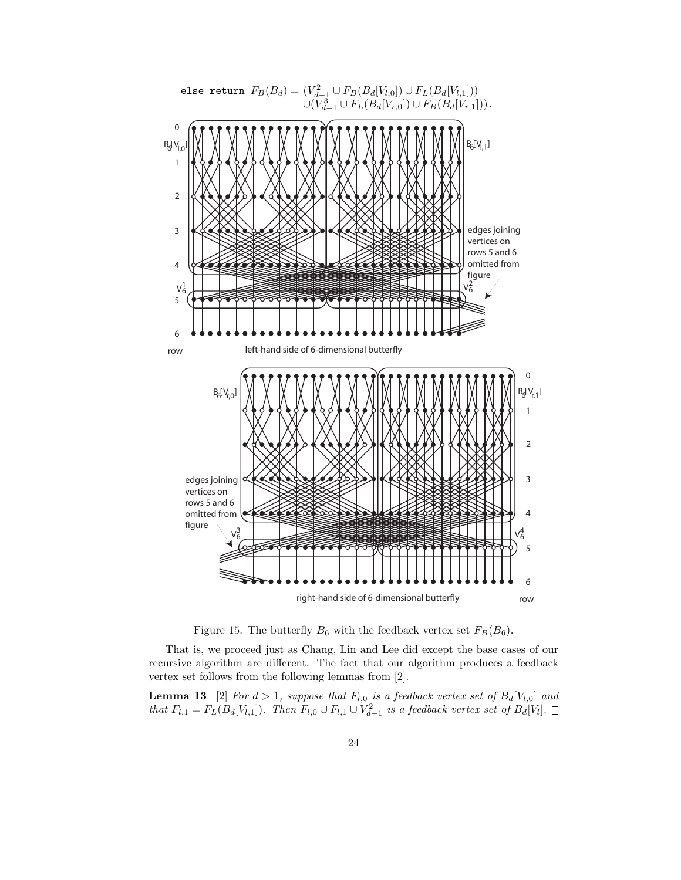

Figure 15. The butterfly  $B_6$  with the feedback vertex set  $F_B(B_6)$ .

That is, we proceed just as Chang, Lin and Lee did except the base cases of our recursive algorithm are different. The fact that our algorithm produces a feedback vertex set follows from the following lemmas from [2].

**Lemma 13** [2] For  $d > 1$ , suppose that  $F_{l,0}$  is a feedback vertex set of  $B_d[V_{l,0}]$  and that  $F_{l,1} = F_L(B_d[V_{l,1}])$ . Then  $F_{l,0} \cup F_{l,1} \cup V_{d-1}^2$  is a feedback vertex set of  $B_d[V_l]$ .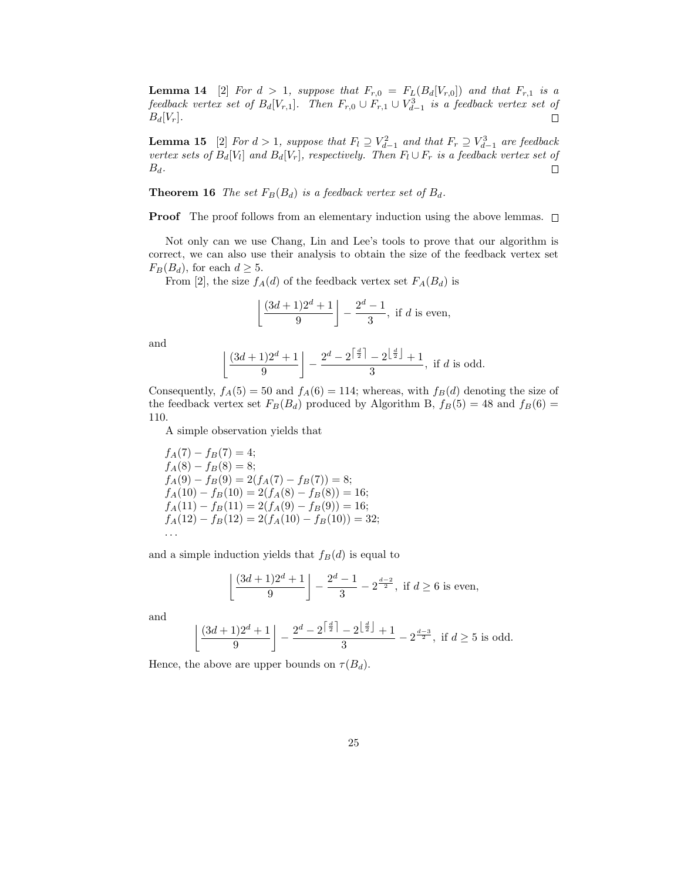**Lemma 14** [2] For  $d > 1$ , suppose that  $F_{r,0} = F_L(B_d[V_{r,0}])$  and that  $F_{r,1}$  is a feedback vertex set of  $B_d[V_{r,1}]$ . Then  $F_{r,0} \cup F_{r,1} \cup V_{d-1}^3$  is a feedback vertex set of  $B_d[V_r]$ .  $\Box$ 

**Lemma 15** [2] For  $d > 1$ , suppose that  $F_l \supseteq V_{d-1}^2$  and that  $F_r \supseteq V_{d-1}^3$  are feedback vertex sets of  $B_d[V_l]$  and  $B_d[V_r]$ , respectively. Then  $F_l \cup F_r$  is a feedback vertex set of  $B_d$ .  $\Box$ 

**Theorem 16** The set  $F_B(B_d)$  is a feedback vertex set of  $B_d$ .

**Proof** The proof follows from an elementary induction using the above lemmas.  $\square$ 

Not only can we use Chang, Lin and Lee's tools to prove that our algorithm is correct, we can also use their analysis to obtain the size of the feedback vertex set  $F_B(B_d)$ , for each  $d \geq 5$ .

From [2], the size  $f_A(d)$  of the feedback vertex set  $F_A(B_d)$  is

$$
\left\lfloor \frac{(3d+1)2^d+1}{9} \right\rfloor - \frac{2^d-1}{3}, \text{ if } d \text{ is even,}
$$

and

$$
\left\lfloor \frac{(3d+1)2^d+1}{9} \right\rfloor - \frac{2^d - 2^{\left\lceil \frac{d}{2} \right\rceil} - 2^{\left\lfloor \frac{d}{2} \right\rfloor} + 1}{3}
$$
, if  $d$  is odd.

Consequently,  $f_A(5) = 50$  and  $f_A(6) = 114$ ; whereas, with  $f_B(d)$  denoting the size of the feedback vertex set  $F_B(B_d)$  produced by Algorithm B,  $f_B(5) = 48$  and  $f_B(6) =$ 110.

A simple observation yields that

$$
f_A(7) - f_B(7) = 4;
$$
  
\n
$$
f_A(8) - f_B(8) = 8;
$$
  
\n
$$
f_A(9) - f_B(9) = 2(f_A(7) - f_B(7)) = 8;
$$
  
\n
$$
f_A(10) - f_B(10) = 2(f_A(8) - f_B(8)) = 16;
$$
  
\n
$$
f_A(11) - f_B(11) = 2(f_A(9) - f_B(9)) = 16;
$$
  
\n
$$
f_A(12) - f_B(12) = 2(f_A(10) - f_B(10)) = 32;
$$
  
\n...

and a simple induction yields that  $f_B(d)$  is equal to

$$
\left\lfloor \frac{(3d+1)2^d+1}{9} \right\rfloor - \frac{2^d-1}{3} - 2^{\frac{d-2}{2}}, \text{ if } d \ge 6 \text{ is even},
$$

and

$$
\left\lfloor \frac{(3d+1)2^d+1}{9} \right\rfloor - \frac{2^d - 2^{\left\lceil \frac{d}{2} \right\rceil} - 2^{\left\lfloor \frac{d}{2} \right\rfloor} + 1}{3} - 2^{\frac{d-3}{2}}, \text{ if } d \ge 5 \text{ is odd.}
$$

Hence, the above are upper bounds on  $\tau(B_d)$ .